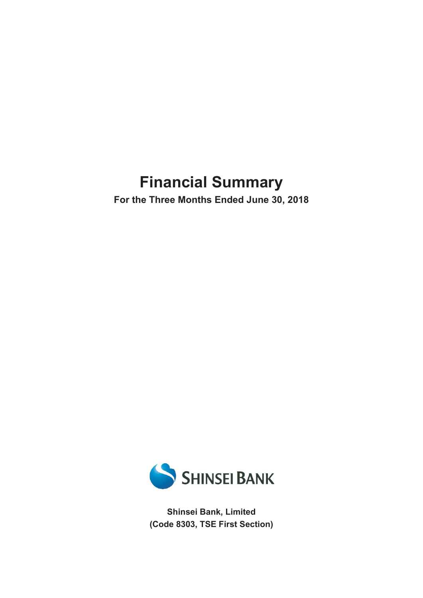# **Financial Summary**

**For the Three Months Ended June 30, 2018**



**Shinsei Bank, Limited (Code 8303, TSE First Section)**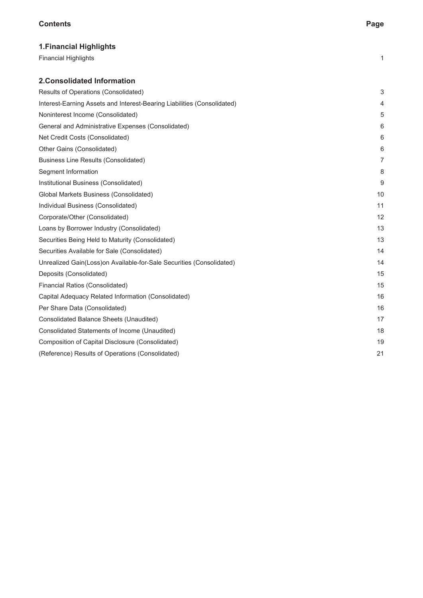## **Contents Page**

| <b>1. Financial Highlights</b>                                          |                |
|-------------------------------------------------------------------------|----------------|
| <b>Financial Highlights</b>                                             | 1              |
| <b>2. Consolidated Information</b>                                      |                |
| Results of Operations (Consolidated)                                    | 3              |
| Interest-Earning Assets and Interest-Bearing Liabilities (Consolidated) | 4              |
| Noninterest Income (Consolidated)                                       | 5              |
| General and Administrative Expenses (Consolidated)                      | 6              |
| Net Credit Costs (Consolidated)                                         | 6              |
| Other Gains (Consolidated)                                              | 6              |
| <b>Business Line Results (Consolidated)</b>                             | $\overline{7}$ |
| Segment Information                                                     | 8              |
| Institutional Business (Consolidated)                                   | 9              |
| Global Markets Business (Consolidated)                                  | 10             |
| Individual Business (Consolidated)                                      | 11             |
| Corporate/Other (Consolidated)                                          | 12             |
| Loans by Borrower Industry (Consolidated)                               | 13             |
| Securities Being Held to Maturity (Consolidated)                        | 13             |
| Securities Available for Sale (Consolidated)                            | 14             |
| Unrealized Gain(Loss) on Available-for-Sale Securities (Consolidated)   | 14             |
| Deposits (Consolidated)                                                 | 15             |
| Financial Ratios (Consolidated)                                         | 15             |
| Capital Adequacy Related Information (Consolidated)                     | 16             |
| Per Share Data (Consolidated)                                           | 16             |
| Consolidated Balance Sheets (Unaudited)                                 | 17             |
| Consolidated Statements of Income (Unaudited)                           | 18             |
| Composition of Capital Disclosure (Consolidated)                        | 19             |
| (Reference) Results of Operations (Consolidated)                        | 21             |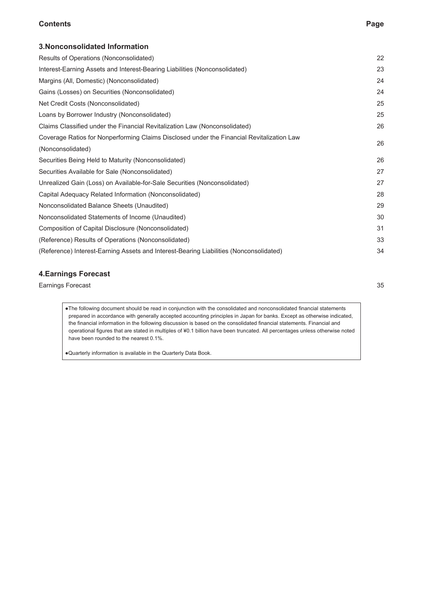## **Contents Page**

| <b>3. Nonconsolidated Information</b>                                                     |    |
|-------------------------------------------------------------------------------------------|----|
| Results of Operations (Nonconsolidated)                                                   | 22 |
| Interest-Earning Assets and Interest-Bearing Liabilities (Nonconsolidated)                | 23 |
| Margins (All, Domestic) (Nonconsolidated)                                                 | 24 |
| Gains (Losses) on Securities (Nonconsolidated)                                            | 24 |
| Net Credit Costs (Nonconsolidated)                                                        | 25 |
| Loans by Borrower Industry (Nonconsolidated)                                              | 25 |
| Claims Classified under the Financial Revitalization Law (Nonconsolidated)                | 26 |
| Coverage Ratios for Nonperforming Claims Disclosed under the Financial Revitalization Law | 26 |
| (Nonconsolidated)                                                                         |    |
| Securities Being Held to Maturity (Nonconsolidated)                                       | 26 |
| Securities Available for Sale (Nonconsolidated)                                           | 27 |
| Unrealized Gain (Loss) on Available-for-Sale Securities (Nonconsolidated)                 | 27 |
| Capital Adequacy Related Information (Nonconsolidated)                                    | 28 |
| Nonconsolidated Balance Sheets (Unaudited)                                                | 29 |
| Nonconsolidated Statements of Income (Unaudited)                                          | 30 |
| Composition of Capital Disclosure (Nonconsolidated)                                       | 31 |
| (Reference) Results of Operations (Nonconsolidated)                                       | 33 |
| (Reference) Interest-Earning Assets and Interest-Bearing Liabilities (Nonconsolidated)    | 34 |
|                                                                                           |    |

## **4.Earnings Forecast**

**Earnings Forecast** 35

●The following document should be read in conjunction with the consolidated and nonconsolidated financial statements prepared in accordance with generally accepted accounting principles in Japan for banks. Except as otherwise indicated, the financial information in the following discussion is based on the consolidated financial statements. Financial and operational figures that are stated in multiples of ¥0.1 billion have been truncated. All percentages unless otherwise noted have been rounded to the nearest 0.1%.

●Quarterly information is available in the Quarterly Data Book.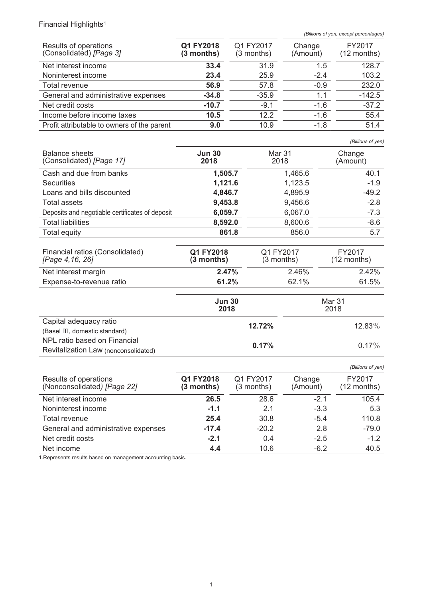# Financial Highlights<sup>1</sup>

*(Billions of yen, except percentages)*

| Results of operations<br>(Consolidated) [Page 3] | Q1 FY2018<br>$(3$ months) | Q1 FY2017<br>$(3$ months) | Change<br>(Amount) | FY2017<br>$(12$ months) |
|--------------------------------------------------|---------------------------|---------------------------|--------------------|-------------------------|
| Net interest income                              | 33.4                      | 31.9                      | 1.5                | 128.7                   |
| Noninterest income                               | 23.4                      | 25.9                      | $-2.4$             | 103.2                   |
| Total revenue                                    | 56.9                      | 57.8                      | $-0.9$             | 232.0                   |
| General and administrative expenses              | $-34.8$                   | $-35.9$                   | 1.1                | $-142.5$                |
| Net credit costs                                 | $-10.7$                   | $-9.1$                    | $-1.6$             | $-37.2$                 |
| Income before income taxes                       | 10.5                      | 12.2                      | $-1.6$             | 55.4                    |
| Profit attributable to owners of the parent      | 9.0                       | 10.9                      | $-1.8$             | 51.4                    |

*(Billions of yen)*

| <b>Balance sheets</b><br>(Consolidated) [Page 17] | <b>Jun 30</b><br>2018 | Mar 31<br>2018 | Change<br>(Amount) |
|---------------------------------------------------|-----------------------|----------------|--------------------|
| Cash and due from banks                           | 1,505.7               | 1,465.6        | 40.1               |
| <b>Securities</b>                                 | 1,121.6               | 1,123.5        | $-1.9$             |
| Loans and bills discounted                        | 4,846.7               | 4,895.9        | $-49.2$            |
| Total assets                                      | 9,453.8               | 9,456.6        | $-2.8$             |
| Deposits and negotiable certificates of deposit   | 6,059.7               | 6,067.0        | $-7.3$             |
| <b>Total liabilities</b>                          | 8,592.0               | 8,600.6        | $-8.6$             |
| Total equity                                      | 861.8                 | 856.0          | 5.7                |
|                                                   |                       |                |                    |

| Financial ratios (Consolidated)<br>[Page 4,16, 26] | Q1 FY2018<br>$(3$ months) | Q1 FY2017<br>$(3$ months) | FY2017<br>$(12$ months) |
|----------------------------------------------------|---------------------------|---------------------------|-------------------------|
| Net interest margin                                | 2.47%                     | 2.46%                     | 2.42%                   |
| Expense-to-revenue ratio                           | 61.2%                     | 62.1%                     | 61.5%                   |
|                                                    |                           |                           |                         |

|                                                                      | <b>Jun 30</b><br>2018 | Mar 31<br>2018 |  |
|----------------------------------------------------------------------|-----------------------|----------------|--|
| Capital adequacy ratio<br>(Basel III, domestic standard)             | 12.72%                | $12.83\%$      |  |
| NPL ratio based on Financial<br>Revitalization Law (nonconsolidated) | 0.17%                 | $0.17\%$       |  |

|                                                      |                           |                           |                    | (Billions of yen)     |
|------------------------------------------------------|---------------------------|---------------------------|--------------------|-----------------------|
| Results of operations<br>(Nonconsolidated) [Page 22] | Q1 FY2018<br>$(3$ months) | Q1 FY2017<br>$(3$ months) | Change<br>(Amount) | FY2017<br>(12 months) |
| Net interest income                                  | 26.5                      | 28.6                      | $-2.1$             | 105.4                 |
| Noninterest income                                   | $-1.1$                    | 2.1                       | $-3.3$             | 5.3                   |
| Total revenue                                        | 25.4                      | 30.8                      | $-5.4$             | 110.8                 |
| General and administrative expenses                  | $-17.4$                   | $-20.2$                   | 2.8                | $-79.0$               |
| Net credit costs                                     | $-2.1$                    | 0.4                       | $-2.5$             | $-1.2$                |
| Net income                                           | 4.4                       | 10.6                      | $-6.2$             | 40.5                  |

1.Represents results based on management accounting basis.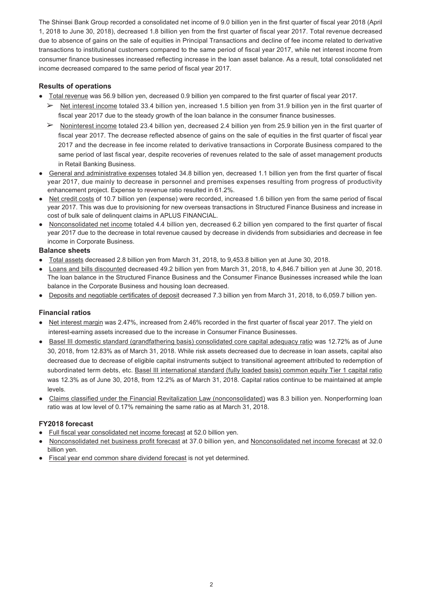The Shinsei Bank Group recorded a consolidated net income of 9.0 billion yen in the first quarter of fiscal year 2018 (April 1, 2018 to June 30, 2018), decreased 1.8 billion yen from the first quarter of fiscal year 2017. Total revenue decreased due to absence of gains on the sale of equities in Principal Transactions and decline of fee income related to derivative transactions to institutional customers compared to the same period of fiscal year 2017, while net interest income from consumer finance businesses increased reflecting increase in the loan asset balance. As a result, total consolidated net income decreased compared to the same period of fiscal year 2017.

## **Results of operations**

- Total revenue was 56.9 billion yen, decreased 0.9 billion yen compared to the first quarter of fiscal year 2017.
	- $\triangleright$  Net interest income totaled 33.4 billion yen, increased 1.5 billion yen from 31.9 billion yen in the first quarter of fiscal year 2017 due to the steady growth of the loan balance in the consumer finance businesses.
	- $\triangleright$  Noninterest income totaled 23.4 billion ven, decreased 2.4 billion ven from 25.9 billion ven in the first quarter of fiscal year 2017. The decrease reflected absence of gains on the sale of equities in the first quarter of fiscal year 2017 and the decrease in fee income related to derivative transactions in Corporate Business compared to the same period of last fiscal year, despite recoveries of revenues related to the sale of asset management products in Retail Banking Business.
- General and administrative expenses totaled 34.8 billion yen, decreased 1.1 billion yen from the first quarter of fiscal year 2017, due mainly to decrease in personnel and premises expenses resulting from progress of productivity enhancement project. Expense to revenue ratio resulted in 61.2%.
- Net credit costs of 10.7 billion yen (expense) were recorded, increased 1.6 billion yen from the same period of fiscal year 2017. This was due to provisioning for new overseas transactions in Structured Finance Business and increase in cost of bulk sale of delinquent claims in APLUS FINANCIAL.
- Nonconsolidated net income totaled 4.4 billion yen, decreased 6.2 billion yen compared to the first quarter of fiscal year 2017 due to the decrease in total revenue caused by decrease in dividends from subsidiaries and decrease in fee income in Corporate Business.

## **Balance sheets**

- Total assets decreased 2.8 billion yen from March 31, 2018, to 9,453.8 billion yen at June 30, 2018.
- Loans and bills discounted decreased 49.2 billion yen from March 31, 2018, to 4,846.7 billion yen at June 30, 2018. The loan balance in the Structured Finance Business and the Consumer Finance Businesses increased while the loan balance in the Corporate Business and housing loan decreased.
- Deposits and negotiable certificates of deposit decreased 7.3 billion yen from March 31, 2018, to 6,059.7 billion yen.

## **Financial ratios**

- Net interest margin was 2.47%, increased from 2.46% recorded in the first quarter of fiscal year 2017. The yield on interest-earning assets increased due to the increase in Consumer Finance Businesses.
- Basel III domestic standard (grandfathering basis) consolidated core capital adequacy ratio was 12.72% as of June 30, 2018, from 12.83% as of March 31, 2018. While risk assets decreased due to decrease in loan assets, capital also decreased due to decrease of eligible capital instruments subject to transitional agreement attributed to redemption of subordinated term debts, etc. Basel III international standard (fully loaded basis) common equity Tier 1 capital ratio was 12.3% as of June 30, 2018, from 12.2% as of March 31, 2018. Capital ratios continue to be maintained at ample levels.
- Claims classified under the Financial Revitalization Law (nonconsolidated) was 8.3 billion yen. Nonperforming loan ratio was at low level of 0.17% remaining the same ratio as at March 31, 2018.

## **FY2018 forecast**

- Full fiscal year consolidated net income forecast at 52.0 billion yen.
- Nonconsolidated net business profit forecast at 37.0 billion yen, and Nonconsolidated net income forecast at 32.0 billion yen.
- Fiscal year end common share dividend forecast is not yet determined.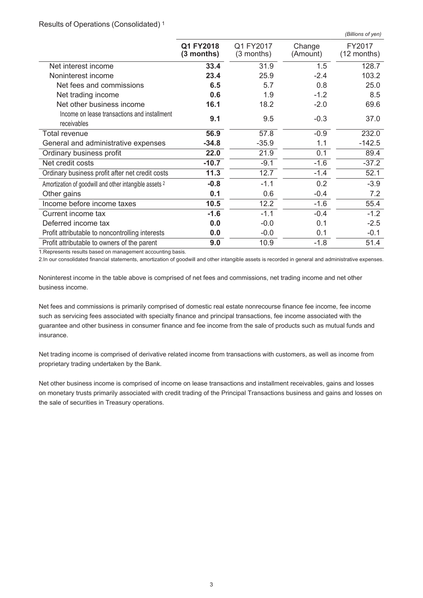#### Results of Operations (Consolidated) <sup>1</sup>

|                                                             |                           |                         |                    | (Billions of yen)       |
|-------------------------------------------------------------|---------------------------|-------------------------|--------------------|-------------------------|
|                                                             | Q1 FY2018<br>$(3$ months) | Q1 FY2017<br>(3 months) | Change<br>(Amount) | FY2017<br>$(12$ months) |
| Net interest income                                         | 33.4                      | 31.9                    | 1.5                | 128.7                   |
| Noninterest income                                          | 23.4                      | 25.9                    | $-2.4$             | 103.2                   |
| Net fees and commissions                                    | 6.5                       | 5.7                     | 0.8                | 25.0                    |
| Net trading income                                          | 0.6                       | 1.9                     | $-1.2$             | 8.5                     |
| Net other business income                                   | 16.1                      | 18.2                    | $-2.0$             | 69.6                    |
| Income on lease transactions and installment<br>receivables | 9.1                       | 9.5                     | $-0.3$             | 37.0                    |
| Total revenue                                               | 56.9                      | 57.8                    | $-0.9$             | 232.0                   |
| General and administrative expenses                         | $-34.8$                   | $-35.9$                 | 1.1                | $-142.5$                |
| Ordinary business profit                                    | 22.0                      | 21.9                    | 0.1                | 89.4                    |
| Net credit costs                                            | $-10.7$                   | $-9.1$                  | $-1.6$             | $-37.2$                 |
| Ordinary business profit after net credit costs             | 11.3                      | 12.7                    | $-1.4$             | 52.1                    |
| Amortization of goodwill and other intangible assets 2      | $-0.8$                    | $-1.1$                  | 0.2                | $-3.9$                  |
| Other gains                                                 | 0.1                       | 0.6                     | $-0.4$             | 7.2                     |
| Income before income taxes                                  | 10.5                      | 12.2                    | $-1.6$             | 55.4                    |
| Current income tax                                          | $-1.6$                    | $-1.1$                  | $-0.4$             | $-1.2$                  |
| Deferred income tax                                         | 0.0                       | $-0.0$                  | 0.1                | $-2.5$                  |
| Profit attributable to noncontrolling interests             | 0.0                       | $-0.0$                  | 0.1                | $-0.1$                  |
| Profit attributable to owners of the parent                 | 9.0                       | 10.9                    | $-1.8$             | 51.4                    |

1.Represents results based on management accounting basis.

2.In our consolidated financial statements, amortization of goodwill and other intangible assets is recorded in general and administrative expenses.

Noninterest income in the table above is comprised of net fees and commissions, net trading income and net other business income.

Net fees and commissions is primarily comprised of domestic real estate nonrecourse finance fee income, fee income such as servicing fees associated with specialty finance and principal transactions, fee income associated with the guarantee and other business in consumer finance and fee income from the sale of products such as mutual funds and insurance.

Net trading income is comprised of derivative related income from transactions with customers, as well as income from proprietary trading undertaken by the Bank.

Net other business income is comprised of income on lease transactions and installment receivables, gains and losses on monetary trusts primarily associated with credit trading of the Principal Transactions business and gains and losses on the sale of securities in Treasury operations.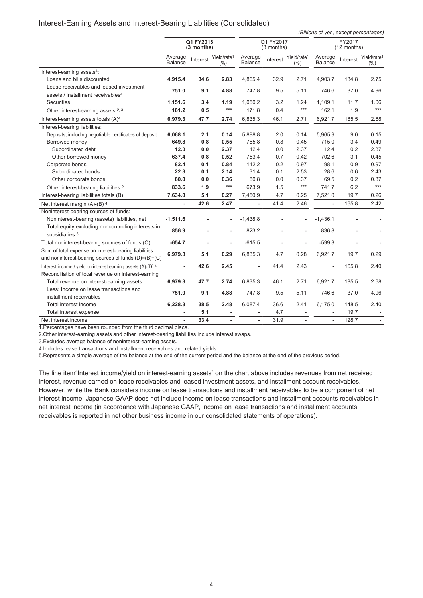#### Interest-Earning Assets and Interest-Bearing Liabilities (Consolidated)

*(Billions of yen, except percentages)*

|                                                              | Q1 FY2018<br>(3 months) |          | Q1 FY2017<br>$(3$ months)          |                    |          | FY2017<br>(12 months)             |                           |                |                                    |
|--------------------------------------------------------------|-------------------------|----------|------------------------------------|--------------------|----------|-----------------------------------|---------------------------|----------------|------------------------------------|
|                                                              | Average<br>Balance      | Interest | Yield/rate <sup>1</sup><br>$(\% )$ | Average<br>Balance | Interest | Yield/rate <sup>1</sup><br>$(\%)$ | Average<br><b>Balance</b> | Interest       | Yield/rate <sup>1</sup><br>$(\% )$ |
| Interest-earning assets <sup>4</sup> :                       |                         |          |                                    |                    |          |                                   |                           |                |                                    |
| Loans and bills discounted                                   | 4,915.4                 | 34.6     | 2.83                               | 4,865.4            | 32.9     | 2.71                              | 4,903.7                   | 134.8          | 2.75                               |
| Lease receivables and leased investment                      |                         |          |                                    |                    |          |                                   |                           |                |                                    |
| assets / installment receivables <sup>4</sup>                | 751.0                   | 9.1      | 4.88                               | 747.8              | 9.5      | 5.11                              | 746.6                     | 37.0           | 4.96                               |
| Securities                                                   | 1,151.6                 | 3.4      | 1.19                               | 1,050.2            | 3.2      | 1.24                              | 1,109.1                   | 11.7           | 1.06                               |
| Other interest-earning assets 2, 3                           | 161.2                   | 0.5      | $***$                              | 171.8              | 0.4      | $***$                             | 162.1                     | 1.9            | ***                                |
| Interest-earning assets totals (A) <sup>4</sup>              | 6,979.3                 | 47.7     | 2.74                               | 6,835.3            | 46.1     | 2.71                              | 6,921.7                   | 185.5          | 2.68                               |
| Interest-bearing liabilities:                                |                         |          |                                    |                    |          |                                   |                           |                |                                    |
| Deposits, including negotiable certificates of deposit       | 6,068.1                 | 2.1      | 0.14                               | 5,898.8            | 2.0      | 0.14                              | 5,965.9                   | 9.0            | 0.15                               |
| Borrowed money                                               | 649.8                   | 0.8      | 0.55                               | 765.8              | 0.8      | 0.45                              | 715.0                     | 3.4            | 0.49                               |
| Subordinated debt                                            | 12.3                    | 0.0      | 2.37                               | 12.4               | 0.0      | 2.37                              | 12.4                      | 0.2            | 2.37                               |
| Other borrowed money                                         | 637.4                   | 0.8      | 0.52                               | 753.4              | 0.7      | 0.42                              | 702.6                     | 3.1            | 0.45                               |
| Corporate bonds                                              | 82.4                    | 0.1      | 0.84                               | 112.2              | 0.2      | 0.97                              | 98.1                      | 0.9            | 0.97                               |
| Subordinated bonds                                           | 22.3                    | 0.1      | 2.14                               | 31.4               | 0.1      | 2.53                              | 28.6                      | 0.6            | 2.43                               |
| Other corporate bonds                                        | 60.0                    | 0.0      | 0.36                               | 80.8               | 0.0      | 0.37                              | 69.5                      | 0.2            | 0.37                               |
| Other interest-bearing liabilities 2                         | 833.6                   | 1.9      | $***$                              | 673.9              | 1.5      | $***$                             | 741.7                     | 6.2            | $***$                              |
| Interest-bearing liabilities totals (B)                      | 7,634.0                 | 5.1      | 0.27                               | 7,450.9            | 4.7      | 0.25                              | 7,521.0                   | 19.7           | 0.26                               |
| Net interest margin (A)-(B) 4                                |                         | 42.6     | 2.47                               |                    | 41.4     | 2.46                              |                           | 165.8          | 2.42                               |
| Noninterest-bearing sources of funds:                        |                         |          |                                    |                    |          |                                   |                           |                |                                    |
| Noninterest-bearing (assets) liabilities, net                | $-1,511.6$              |          |                                    | $-1,438.8$         |          |                                   | $-1,436.1$                |                |                                    |
| Total equity excluding noncontrolling interests in           | 856.9                   |          |                                    | 823.2              |          |                                   | 836.8                     |                |                                    |
| subsidiaries 5                                               |                         |          |                                    |                    |          |                                   |                           |                |                                    |
| Total noninterest-bearing sources of funds (C)               | $-654.7$                | L.       | ä,                                 | $-615.5$           | L.       | $\sim$                            | $-599.3$                  | $\overline{a}$ |                                    |
| Sum of total expense on interest-bearing liabilities         | 6,979.3                 | 5.1      | 0.29                               | 6,835.3            | 4.7      | 0.28                              | 6,921.7                   | 19.7           | 0.29                               |
| and noninterest-bearing sources of funds $(D)= (B)+(C)$      |                         |          |                                    |                    |          |                                   |                           |                |                                    |
| Interest income / yield on interest earning assets (A)-(D) 4 |                         | 42.6     | 2.45                               | $\sim$             | 41.4     | 2.43                              |                           | 165.8          | 2.40                               |
| Reconciliation of total revenue on interest-earning          |                         |          |                                    |                    |          |                                   |                           |                |                                    |
| Total revenue on interest-earning assets                     | 6,979.3                 | 47.7     | 2.74                               | 6,835.3            | 46.1     | 2.71                              | 6,921.7                   | 185.5          | 2.68                               |
| Less: Income on lease transactions and                       | 751.0                   | 9.1      | 4.88                               | 747.8              | 9.5      | 5.11                              | 746.6                     | 37.0           | 4.96                               |
| installment receivables                                      |                         |          |                                    |                    |          |                                   |                           |                |                                    |
| Total interest income                                        | 6,228.3                 | 38.5     | 2.48                               | 6,087.4            | 36.6     | 2.41                              | 6,175.0                   | 148.5          | 2.40                               |
| Total interest expense                                       |                         | 5.1      |                                    |                    | 4.7      |                                   |                           | 19.7           |                                    |
| Net interest income                                          | ä,                      | 33.4     |                                    | $\sim$             | 31.9     |                                   |                           | 128.7          |                                    |

1.Percentages have been rounded from the third decimal place.

2.Other interest-earning assets and other interest-bearing liabilities include interest swaps.

3.Excludes average balance of noninterest-earning assets.

4.Includes lease transactions and installment receivables and related yields.

5.Represents a simple average of the balance at the end of the current period and the balance at the end of the previous period.

The line item"Interest income/yield on interest-earning assets" on the chart above includes revenues from net received interest, revenue earned on lease receivables and leased investment assets, and installment account receivables. However, while the Bank considers income on lease transactions and installment receivables to be a component of net interest income, Japanese GAAP does not include income on lease transactions and installment accounts receivables in net interest income (in accordance with Japanese GAAP, income on lease transactions and installment accounts receivables is reported in net other business income in our consolidated statements of operations).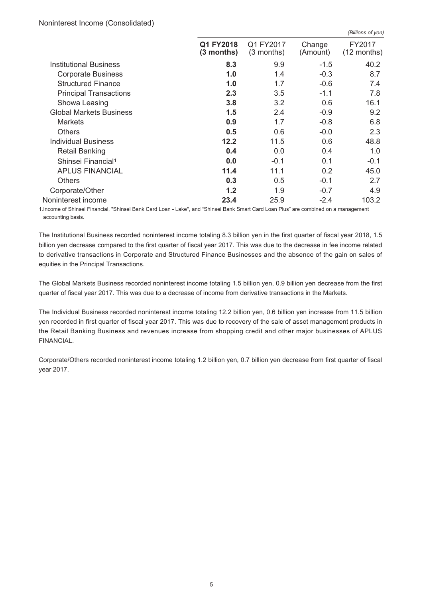#### Noninterest Income (Consolidated)

|                                |                           |                           |                    | $1 - \cdots - \cdots - \cdots$ |
|--------------------------------|---------------------------|---------------------------|--------------------|--------------------------------|
|                                | Q1 FY2018<br>$(3$ months) | Q1 FY2017<br>$(3$ months) | Change<br>(Amount) | FY2017<br>(12 months)          |
| <b>Institutional Business</b>  | 8.3                       | 9.9                       | $-1.5$             | 40.2                           |
| <b>Corporate Business</b>      | 1.0                       | 1.4                       | $-0.3$             | 8.7                            |
| <b>Structured Finance</b>      | 1.0                       | 1.7                       | $-0.6$             | 7.4                            |
| <b>Principal Transactions</b>  | 2.3                       | 3.5                       | $-1.1$             | 7.8                            |
| Showa Leasing                  | 3.8                       | 3.2                       | 0.6                | 16.1                           |
| <b>Global Markets Business</b> | 1.5                       | 2.4                       | $-0.9$             | 9.2                            |
| <b>Markets</b>                 | 0.9                       | 1.7                       | $-0.8$             | 6.8                            |
| <b>Others</b>                  | 0.5                       | 0.6                       | $-0.0$             | 2.3                            |
| <b>Individual Business</b>     | 12.2                      | 11.5                      | 0.6                | 48.8                           |
| <b>Retail Banking</b>          | 0.4                       | 0.0                       | 0.4                | 1.0                            |
| Shinsei Financial <sup>1</sup> | 0.0                       | $-0.1$                    | 0.1                | $-0.1$                         |
| <b>APLUS FINANCIAL</b>         | 11.4                      | 11.1                      | 0.2                | 45.0                           |
| <b>Others</b>                  | 0.3                       | 0.5                       | $-0.1$             | 2.7                            |
| Corporate/Other                | 1.2                       | 1.9                       | $-0.7$             | 4.9                            |
| Noninterest income             | 23.4                      | 25.9                      | $-2.4$             | 103.2                          |

*(Billions of yen)*

1.Income of Shinsei Financial, "Shinsei Bank Card Loan - Lake", and "Shinsei Bank Smart Card Loan Plus" are combined on a management accounting basis.

The Institutional Business recorded noninterest income totaling 8.3 billion yen in the first quarter of fiscal year 2018, 1.5 billion yen decrease compared to the first quarter of fiscal year 2017. This was due to the decrease in fee income related to derivative transactions in Corporate and Structured Finance Businesses and the absence of the gain on sales of equities in the Principal Transactions.

The Global Markets Business recorded noninterest income totaling 1.5 billion yen, 0.9 billion yen decrease from the first quarter of fiscal year 2017. This was due to a decrease of income from derivative transactions in the Markets.

The Individual Business recorded noninterest income totaling 12.2 billion yen, 0.6 billion yen increase from 11.5 billion yen recorded in first quarter of fiscal year 2017. This was due to recovery of the sale of asset management products in the Retail Banking Business and revenues increase from shopping credit and other major businesses of APLUS FINANCIAL.

Corporate/Others recorded noninterest income totaling 1.2 billion yen, 0.7 billion yen decrease from first quarter of fiscal year 2017.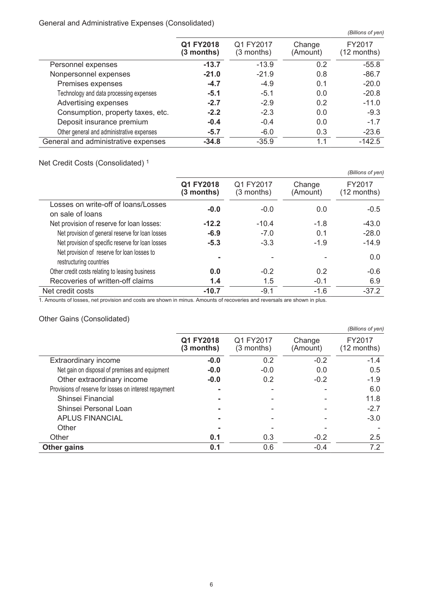## General and Administrative Expenses (Consolidated)

|                                           |                         |                           |                    | (Billions of yen)       |
|-------------------------------------------|-------------------------|---------------------------|--------------------|-------------------------|
|                                           | Q1 FY2018<br>(3 months) | Q1 FY2017<br>$(3$ months) | Change<br>(Amount) | FY2017<br>$(12$ months) |
| Personnel expenses                        | $-13.7$                 | $-13.9$                   | 0.2                | $-55.8$                 |
| Nonpersonnel expenses                     | $-21.0$                 | $-21.9$                   | 0.8                | $-86.7$                 |
| Premises expenses                         | $-4.7$                  | $-4.9$                    | 0.1                | $-20.0$                 |
| Technology and data processing expenses   | $-5.1$                  | $-5.1$                    | 0.0                | $-20.8$                 |
| Advertising expenses                      | $-2.7$                  | $-2.9$                    | 0.2                | $-11.0$                 |
| Consumption, property taxes, etc.         | $-2.2$                  | $-2.3$                    | 0.0                | $-9.3$                  |
| Deposit insurance premium                 | $-0.4$                  | $-0.4$                    | 0.0                | $-1.7$                  |
| Other general and administrative expenses | $-5.7$                  | $-6.0$                    | 0.3                | $-23.6$                 |
| General and administrative expenses       | $-34.8$                 | $-35.9$                   | 1.1                | $-142.5$                |

# Net Credit Costs (Consolidated) <sup>1</sup>

|                                                                        |                           |                         |                    | (Billions of yen)       |
|------------------------------------------------------------------------|---------------------------|-------------------------|--------------------|-------------------------|
|                                                                        | Q1 FY2018<br>$(3$ months) | Q1 FY2017<br>(3 months) | Change<br>(Amount) | FY2017<br>$(12$ months) |
| Losses on write-off of loans/Losses<br>on sale of loans                | $-0.0$                    | $-0.0$                  | 0.0                | $-0.5$                  |
| Net provision of reserve for loan losses:                              | $-12.2$                   | $-10.4$                 | $-1.8$             | $-43.0$                 |
| Net provision of general reserve for loan losses                       | $-6.9$                    | $-7.0$                  | 0.1                | $-28.0$                 |
| Net provision of specific reserve for loan losses                      | $-5.3$                    | $-3.3$                  | $-1.9$             | $-14.9$                 |
| Net provision of reserve for loan losses to<br>restructuring countries |                           |                         |                    | 0.0                     |
| Other credit costs relating to leasing business                        | 0.0                       | $-0.2$                  | 0.2                | $-0.6$                  |
| Recoveries of written-off claims                                       | 1.4                       | 1.5                     | $-0.1$             | 6.9                     |
| Net credit costs                                                       | $-10.7$                   | $-9.1$                  | $-1.6$             | $-37.2$                 |

1. Amounts of losses, net provision and costs are shown in minus. Amounts of recoveries and reversals are shown in plus.

# Other Gains (Consolidated)

|                                                        |                           |                           |                    | (Billions of yen)       |
|--------------------------------------------------------|---------------------------|---------------------------|--------------------|-------------------------|
|                                                        | Q1 FY2018<br>$(3$ months) | Q1 FY2017<br>$(3$ months) | Change<br>(Amount) | FY2017<br>$(12$ months) |
| Extraordinary income                                   | $-0.0$                    | 0.2                       | $-0.2$             | $-1.4$                  |
| Net gain on disposal of premises and equipment         | $-0.0$                    | $-0.0$                    | 0.0                | 0.5                     |
| Other extraordinary income                             | $-0.0$                    | 0.2                       | $-0.2$             | $-1.9$                  |
| Provisions of reserve for losses on interest repayment |                           |                           |                    | 6.0                     |
| Shinsei Financial                                      |                           |                           |                    | 11.8                    |
| Shinsei Personal Loan                                  |                           |                           |                    | $-2.7$                  |
| <b>APLUS FINANCIAL</b>                                 |                           |                           |                    | $-3.0$                  |
| Other                                                  |                           |                           |                    |                         |
| Other                                                  | 0.1                       | 0.3                       | $-0.2$             | 2.5                     |
| <b>Other gains</b>                                     | 0.1                       | 0.6                       | $-0.4$             | 7.2                     |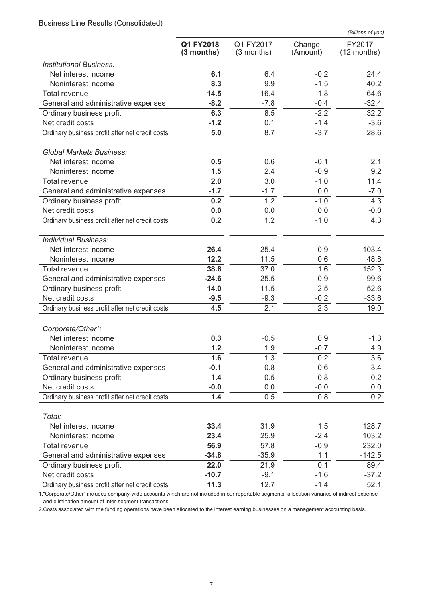Business Line Results (Consolidated)

|                                                                     |                           |                           |                    | (Billions of yen)       |
|---------------------------------------------------------------------|---------------------------|---------------------------|--------------------|-------------------------|
|                                                                     | Q1 FY2018<br>$(3$ months) | Q1 FY2017<br>$(3$ months) | Change<br>(Amount) | FY2017<br>$(12$ months) |
| <b>Institutional Business:</b>                                      |                           |                           |                    |                         |
| Net interest income                                                 | 6.1                       | 6.4                       | $-0.2$             | 24.4                    |
| Noninterest income                                                  | 8.3                       | 9.9                       | $-1.5$             | 40.2                    |
| Total revenue                                                       | 14.5                      | 16.4                      | $-1.8$             | 64.6                    |
| General and administrative expenses                                 | $-8.2$                    | $-7.8$                    | $-0.4$             | $-32.4$                 |
| Ordinary business profit                                            | 6.3                       | 8.5                       | $-2.2$             | 32.2                    |
| Net credit costs                                                    | $-1.2$                    | 0.1                       | $-1.4$             | $-3.6$                  |
| Ordinary business profit after net credit costs                     | 5.0                       | 8.7                       | $-3.7$             | 28.6                    |
| <b>Global Markets Business:</b>                                     |                           |                           |                    |                         |
| Net interest income                                                 | 0.5                       | 0.6                       | $-0.1$             | 2.1                     |
| Noninterest income                                                  | 1.5                       | 2.4                       | $-0.9$             | 9.2                     |
| Total revenue                                                       | 2.0                       | 3.0                       | $-1.0$             | 11.4                    |
| General and administrative expenses                                 | $-1.7$                    | $-1.7$                    | 0.0                | $-7.0$                  |
| Ordinary business profit                                            | 0.2                       | 1.2                       | $-1.0$             | 4.3                     |
| Net credit costs                                                    | 0.0                       | 0.0                       | 0.0                | $-0.0$                  |
| Ordinary business profit after net credit costs                     | 0.2                       | 1.2                       | $-1.0$             | 4.3                     |
| <b>Individual Business:</b>                                         |                           |                           |                    |                         |
| Net interest income                                                 | 26.4                      | 25.4                      | 0.9                | 103.4                   |
| Noninterest income                                                  | 12.2                      | 11.5                      | 0.6                | 48.8                    |
| Total revenue                                                       | 38.6                      | 37.0                      | 1.6                | 152.3                   |
| General and administrative expenses                                 | $-24.6$                   | $-25.5$                   | 0.9                | $-99.6$                 |
| Ordinary business profit                                            | 14.0                      | 11.5                      | 2.5                | 52.6                    |
| Net credit costs                                                    | $-9.5$                    | $-9.3$                    | $-0.2$             | $-33.6$                 |
| Ordinary business profit after net credit costs                     | 4.5                       | 2.1                       | 2.3                | 19.0                    |
| Corporate/Other <sup>1</sup> :                                      |                           |                           |                    |                         |
| Net interest income                                                 | 0.3                       | $-0.5$                    | 0.9                | $-1.3$                  |
| Noninterest income                                                  | 1.2                       | 1.9                       | $-0.7$             | 4.9                     |
| <b>Total revenue</b>                                                | 1.6                       | 1.3                       | 0.2                | 3.6                     |
| General and administrative expenses                                 | $-0.1$                    | $-0.8$                    | 0.6                | $-3.4$                  |
| Ordinary business profit                                            | 1.4                       | 0.5                       | 0.8                | 0.2                     |
| Net credit costs<br>Ordinary business profit after net credit costs | $-0.0$<br>1.4             | 0.0<br>0.5                | $-0.0$<br>0.8      | 0.0<br>0.2              |
|                                                                     |                           |                           |                    |                         |
| Total:                                                              |                           |                           |                    |                         |
| Net interest income                                                 | 33.4                      | 31.9                      | 1.5                | 128.7                   |
| Noninterest income                                                  | 23.4                      | 25.9                      | $-2.4$             | 103.2                   |
| Total revenue                                                       | 56.9                      | 57.8                      | $-0.9$             | 232.0                   |
| General and administrative expenses                                 | $-34.8$                   | $-35.9$                   | 1.1                | $-142.5$                |
| Ordinary business profit<br>Net credit costs                        | 22.0<br>$-10.7$           | 21.9<br>$-9.1$            | 0.1<br>$-1.6$      | 89.4<br>$-37.2$         |
| Ordinary business profit after net credit costs                     | 11.3                      | 12.7                      | $-1.4$             | 52.1                    |
|                                                                     |                           |                           |                    |                         |

1."Corporate/Other" includes company-wide accounts which are not included in our reportable segments, allocation variance of indirect expense and elimination amount of inter-segment transactions.

2.Costs associated with the funding operations have been allocated to the interest earning businesses on a management accounting basis.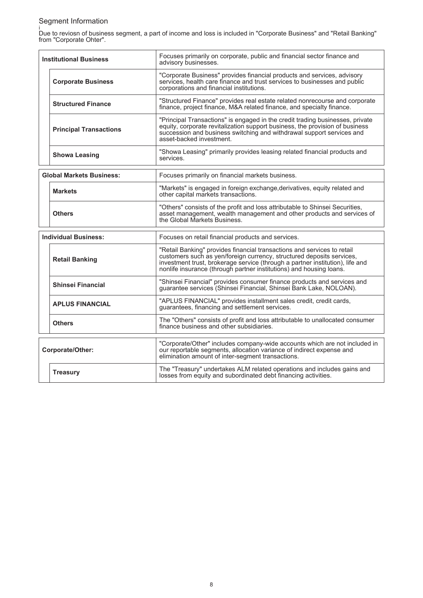# Segment Information

i Due to reviosn of business segment, a part of income and loss is included in "Corporate Business" and "Retail Banking" from "Corporate Ohter".

| <b>Institutional Business</b>   | Focuses primarily on corporate, public and financial sector finance and<br>advisory businesses.                                                                                                                                                                                                          |
|---------------------------------|----------------------------------------------------------------------------------------------------------------------------------------------------------------------------------------------------------------------------------------------------------------------------------------------------------|
| <b>Corporate Business</b>       | "Corporate Business" provides financial products and services, advisory<br>services, health care finance and trust services to businesses and public<br>corporations and financial institutions.                                                                                                         |
| <b>Structured Finance</b>       | "Structured Finance" provides real estate related nonrecourse and corporate<br>finance, project finance, M&A related finance, and specialty finance.                                                                                                                                                     |
| <b>Principal Transactions</b>   | "Principal Transactions" is engaged in the credit trading businesses, private<br>equity, corporate revitalization support business, the provision of business<br>succession and business switching and withdrawal support services and<br>asset-backed investment.                                       |
| <b>Showa Leasing</b>            | "Showa Leasing" primarily provides leasing related financial products and<br>services.                                                                                                                                                                                                                   |
| <b>Global Markets Business:</b> | Focuses primarily on financial markets business.                                                                                                                                                                                                                                                         |
| <b>Markets</b>                  | "Markets" is engaged in foreign exchange, derivatives, equity related and<br>other capital markets transactions.                                                                                                                                                                                         |
| <b>Others</b>                   | "Others" consists of the profit and loss attributable to Shinsei Securities,<br>asset management, wealth management and other products and services of<br>the Global Markets Business.                                                                                                                   |
| <b>Individual Business:</b>     | Focuses on retail financial products and services.                                                                                                                                                                                                                                                       |
| <b>Retail Banking</b>           | "Retail Banking" provides financial transactions and services to retail<br>customers such as yen/foreign currency, structured deposits services,<br>investment trust, brokerage service (through a partner institution), life and<br>nonlife insurance (through partner institutions) and housing loans. |
| <b>Shinsei Financial</b>        | "Shinsei Financial" provides consumer finance products and services and<br>guarantee services (Shinsei Financial, Shinsei Bank Lake, NOLOAN).                                                                                                                                                            |
| <b>APLUS FINANCIAL</b>          | "APLUS FINANCIAL" provides installment sales credit, credit cards,<br>guarantees, financing and settlement services.                                                                                                                                                                                     |
| <b>Others</b>                   | The "Others" consists of profit and loss attributable to unallocated consumer<br>finance business and other subsidiaries.                                                                                                                                                                                |
| <b>Corporate/Other:</b>         | "Corporate/Other" includes company-wide accounts which are not included in<br>our reportable segments, allocation variance of indirect expense and<br>elimination amount of inter-segment transactions.                                                                                                  |
| <b>Treasury</b>                 | The "Treasury" undertakes ALM related operations and includes gains and<br>losses from equity and subordinated debt financing activities.                                                                                                                                                                |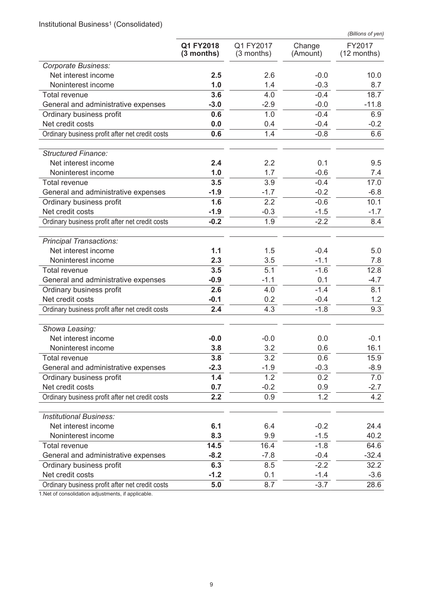Institutional Business<sup>1</sup> (Consolidated)

|                                                 |                           |                         |                    | (Billions of yen)     |
|-------------------------------------------------|---------------------------|-------------------------|--------------------|-----------------------|
|                                                 | Q1 FY2018<br>$(3$ months) | Q1 FY2017<br>(3 months) | Change<br>(Amount) | FY2017<br>(12 months) |
| Corporate Business:                             |                           |                         |                    |                       |
| Net interest income                             | 2.5                       | 2.6                     | $-0.0$             | 10.0                  |
| Noninterest income                              | 1.0                       | 1.4                     | $-0.3$             | 8.7                   |
| <b>Total revenue</b>                            | 3.6                       | 4.0                     | $-0.4$             | 18.7                  |
| General and administrative expenses             | $-3.0$                    | $-2.9$                  | $-0.0$             | $-11.8$               |
| Ordinary business profit                        | 0.6                       | 1.0                     | $-0.4$             | 6.9                   |
| Net credit costs                                | 0.0                       | 0.4                     | $-0.4$             | $-0.2$                |
| Ordinary business profit after net credit costs | 0.6                       | 1.4                     | $-0.8$             | 6.6                   |
| <b>Structured Finance:</b>                      |                           |                         |                    |                       |
| Net interest income                             | 2.4                       | 2.2                     | 0.1                | 9.5                   |
| Noninterest income                              | 1.0                       | 1.7                     | $-0.6$             | 7.4                   |
| Total revenue                                   | 3.5                       | 3.9                     | $-0.4$             | 17.0                  |
| General and administrative expenses             | $-1.9$                    | $-1.7$                  | $-0.2$             | $-6.8$                |
| Ordinary business profit                        | 1.6                       | 2.2                     | $-0.6$             | 10.1                  |
| Net credit costs                                | $-1.9$                    | $-0.3$                  | $-1.5$             | $-1.7$                |
| Ordinary business profit after net credit costs | $-0.2$                    | 1.9                     | $-2.2$             | 8.4                   |
| <b>Principal Transactions:</b>                  |                           |                         |                    |                       |
| Net interest income                             | 1.1                       | 1.5                     | $-0.4$             | 5.0                   |
| Noninterest income                              | 2.3                       | 3.5                     | $-1.1$             | 7.8                   |
| <b>Total revenue</b>                            | 3.5                       | 5.1                     | $-1.6$             | 12.8                  |
| General and administrative expenses             | $-0.9$                    | $-1.1$                  | 0.1                | $-4.7$                |
| Ordinary business profit                        | 2.6                       | 4.0                     | $-1.4$             | 8.1                   |
| Net credit costs                                | $-0.1$                    | 0.2                     | $-0.4$             | 1.2                   |
| Ordinary business profit after net credit costs | 2.4                       | 4.3                     | $-1.8$             | 9.3                   |
| Showa Leasing:                                  |                           |                         |                    |                       |
| Net interest income                             | $-0.0$                    | $-0.0$                  | 0.0                | $-0.1$                |
| Noninterest income                              | 3.8                       | 3.2                     | 0.6                | 16.1                  |
| <b>Total revenue</b>                            | 3.8                       | 3.2                     | 0.6                | 15.9                  |
| General and administrative expenses             | $-2.3$                    | $-1.9$                  | $-0.3$             | $-8.9$                |
| Ordinary business profit                        | 1.4                       | 1.2                     | 0.2                | 7.0                   |
| Net credit costs                                | 0.7                       | $-0.2$                  | 0.9                | $-2.7$                |
| Ordinary business profit after net credit costs | 2.2                       | 0.9                     | 1.2                | 4.2                   |
| <b>Institutional Business:</b>                  |                           |                         |                    |                       |
| Net interest income                             | 6.1                       | 6.4                     | $-0.2$             | 24.4                  |
| Noninterest income                              | 8.3                       | 9.9                     | $-1.5$             | 40.2                  |
| Total revenue                                   | 14.5                      | 16.4                    | $-1.8$             | 64.6                  |
| General and administrative expenses             | $-8.2$                    | $-7.8$                  | $-0.4$             | $-32.4$               |
| Ordinary business profit                        | 6.3                       | 8.5                     | $-2.2$             | 32.2                  |
| Net credit costs                                | $-1.2$                    | 0.1                     | $-1.4$             | $-3.6$                |
| Ordinary business profit after net credit costs | 5.0                       | 8.7                     | $-3.7$             | 28.6                  |

1.Net of consolidation adjustments, if applicable.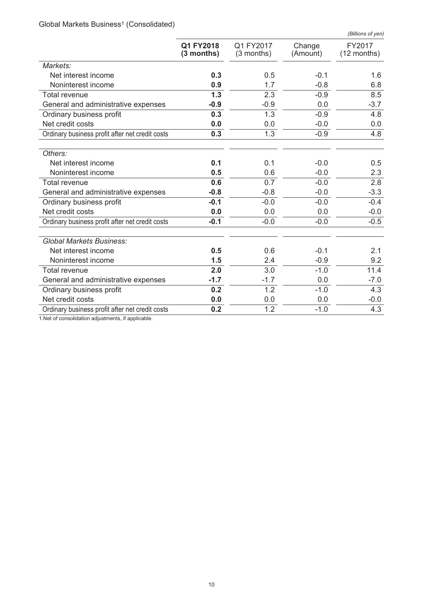Global Markets Business<sup>1</sup> (Consolidated)

|                                                 |                         |                           |                    | (Billions of yen)     |
|-------------------------------------------------|-------------------------|---------------------------|--------------------|-----------------------|
|                                                 | Q1 FY2018<br>(3 months) | Q1 FY2017<br>$(3$ months) | Change<br>(Amount) | FY2017<br>(12 months) |
| Markets:                                        |                         |                           |                    |                       |
| Net interest income                             | 0.3                     | 0.5                       | $-0.1$             | 1.6                   |
| Noninterest income                              | 0.9                     | 1.7                       | $-0.8$             | 6.8                   |
| <b>Total revenue</b>                            | 1.3                     | 2.3                       | $-0.9$             | 8.5                   |
| General and administrative expenses             | $-0.9$                  | $-0.9$                    | 0.0                | $-3.7$                |
| Ordinary business profit                        | 0.3                     | 1.3                       | $-0.9$             | 4.8                   |
| Net credit costs                                | 0.0                     | 0.0                       | $-0.0$             | 0.0                   |
| Ordinary business profit after net credit costs | 0.3                     | 1.3                       | $-0.9$             | 4.8                   |
| Others:                                         |                         |                           |                    |                       |
| Net interest income                             | 0.1                     | 0.1                       | $-0.0$             | 0.5                   |
| Noninterest income                              | 0.5                     | 0.6                       | $-0.0$             | 2.3                   |
| <b>Total revenue</b>                            | 0.6                     | 0.7                       | $-0.0$             | 2.8                   |
| General and administrative expenses             | $-0.8$                  | $-0.8$                    | $-0.0$             | $-3.3$                |
| Ordinary business profit                        | $-0.1$                  | $-0.0$                    | $-0.0$             | $-0.4$                |
| Net credit costs                                | 0.0                     | 0.0                       | 0.0                | $-0.0$                |
| Ordinary business profit after net credit costs | $-0.1$                  | $-0.0$                    | $-0.0$             | $-0.5$                |
| <b>Global Markets Business:</b>                 |                         |                           |                    |                       |
| Net interest income                             | 0.5                     | 0.6                       | $-0.1$             | 2.1                   |
| Noninterest income                              | 1.5                     | 2.4                       | $-0.9$             | 9.2                   |
| <b>Total revenue</b>                            | 2.0                     | 3.0                       | $-1.0$             | 11.4                  |
| General and administrative expenses             | $-1.7$                  | $-1.7$                    | 0.0                | $-7.0$                |
| Ordinary business profit                        | 0.2                     | $\overline{1.2}$          | $-1.0$             | 4.3                   |
| Net credit costs                                | 0.0                     | 0.0                       | 0.0                | $-0.0$                |
| Ordinary business profit after net credit costs | 0.2                     | 1.2                       | $-1.0$             | 4.3                   |

1.Net of consolidation adjustments, if applicable.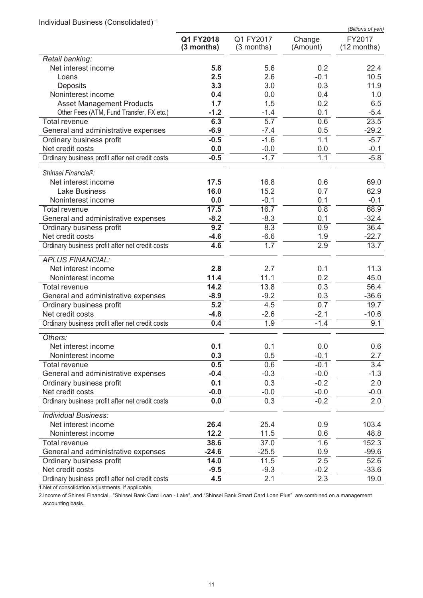Individual Business (Consolidated) <sup>1</sup>

|                                                      |                           |                         |                    | (Billions of yen)     |
|------------------------------------------------------|---------------------------|-------------------------|--------------------|-----------------------|
|                                                      | Q1 FY2018<br>$(3$ months) | Q1 FY2017<br>(3 months) | Change<br>(Amount) | FY2017<br>(12 months) |
| Retail banking:                                      |                           |                         |                    |                       |
| Net interest income                                  | 5.8                       | 5.6                     | 0.2                | 22.4                  |
| Loans                                                | 2.5                       | 2.6                     | $-0.1$             | 10.5                  |
| Deposits                                             | 3.3                       | 3.0                     | 0.3                | 11.9                  |
| Noninterest income                                   | 0.4                       | 0.0                     | 0.4                | 1.0                   |
| <b>Asset Management Products</b>                     | 1.7                       | 1.5                     | 0.2                | 6.5                   |
| Other Fees (ATM, Fund Transfer, FX etc.)             | $-1.2$                    | $-1.4$                  | 0.1                | $-5.4$                |
| <b>Total revenue</b>                                 | 6.3                       | $\overline{5.7}$        | 0.6                | 23.5                  |
| General and administrative expenses                  | $-6.9$                    | $-7.4$                  | 0.5                | $-29.2$               |
| Ordinary business profit                             | $-0.5$                    | $-1.6$                  | 1.1                | $-5.7$                |
| Net credit costs                                     | 0.0                       | $-0.0$                  | 0.0                | $-0.1$                |
| Ordinary business profit after net credit costs      | $-0.5$                    | $-1.7$                  | 1.1                | $-5.8$                |
| Shinsei Financial <sup>2</sup> :                     |                           |                         |                    |                       |
| Net interest income                                  | 17.5                      | 16.8                    | 0.6                | 69.0                  |
| <b>Lake Business</b>                                 | 16.0                      | 15.2                    | 0.7                | 62.9                  |
| Noninterest income                                   | 0.0                       | $-0.1$                  | 0.1                | $-0.1$                |
| <b>Total revenue</b>                                 | 17.5                      | 16.7                    | 0.8                | 68.9                  |
| General and administrative expenses                  | $-8.2$                    | $-8.3$                  | 0.1                | $-32.4$               |
| Ordinary business profit                             | 9.2                       | 8.3                     | 0.9                | 36.4                  |
| Net credit costs                                     | $-4.6$<br>4.6             | $-6.6$<br>1.7           | 1.9<br>2.9         | $-22.7$<br>13.7       |
| Ordinary business profit after net credit costs      |                           |                         |                    |                       |
| <b>APLUS FINANCIAL:</b>                              |                           |                         |                    |                       |
| Net interest income                                  | 2.8                       | 2.7                     | 0.1                | 11.3                  |
| Noninterest income                                   | 11.4                      | 11.1                    | 0.2                | 45.0                  |
| <b>Total revenue</b>                                 | 14.2                      | 13.8                    | 0.3                | 56.4                  |
| General and administrative expenses                  | $-8.9$                    | $-9.2$                  | 0.3                | $-36.6$               |
| Ordinary business profit                             | $\overline{5.2}$          | 4.5                     | 0.7                | 19.7                  |
| Net credit costs                                     | $-4.8$                    | $-2.6$                  | $-2.1$             | $-10.6$               |
| Ordinary business profit after net credit costs      | 0.4                       | 1.9                     | $-1.4$             | 9.1                   |
| Others:                                              |                           |                         |                    |                       |
| Net interest income                                  | 0.1                       | 0.1                     | 0.0                | 0.6                   |
| Noninterest income                                   | 0.3                       | 0.5                     | $-0.1$             | 2.7                   |
| Total revenue                                        | 0.5                       | 0.6<br>$-0.3$           | $-0.1$             | 3.4                   |
| General and administrative expenses                  | $-0.4$<br>0.1             | 0.3                     | $-0.0$<br>$-0.2$   | $-1.3$<br>2.0         |
| Ordinary business profit<br>Net credit costs         | $-0.0$                    | $-0.0$                  | $-0.0$             | $-0.0$                |
| Ordinary business profit after net credit costs      | 0.0                       | 0.3                     | $-0.2$             | 2.0                   |
|                                                      |                           |                         |                    |                       |
| <b>Individual Business:</b>                          |                           |                         |                    |                       |
| Net interest income                                  | 26.4                      | 25.4                    | 0.9                | 103.4                 |
| Noninterest income                                   | 12.2                      | 11.5                    | 0.6                | 48.8                  |
| Total revenue<br>General and administrative expenses | 38.6<br>$-24.6$           | 37.0<br>$-25.5$         | 1.6<br>0.9         | 152.3<br>$-99.6$      |
| Ordinary business profit                             | 14.0                      | 11.5                    | 2.5                | 52.6                  |
| Net credit costs                                     | $-9.5$                    | $-9.3$                  | $-0.2$             | $-33.6$               |
| Ordinary business profit after net credit costs      | 4.5                       | 2.1                     | 2.3                | 19.0                  |
|                                                      |                           |                         |                    |                       |

1.Net of consolidation adjustments, if applicable.

2.Income of Shinsei Financial, "Shinsei Bank Card Loan - Lake", and "Shinsei Bank Smart Card Loan Plus" are combined on a management accounting basis.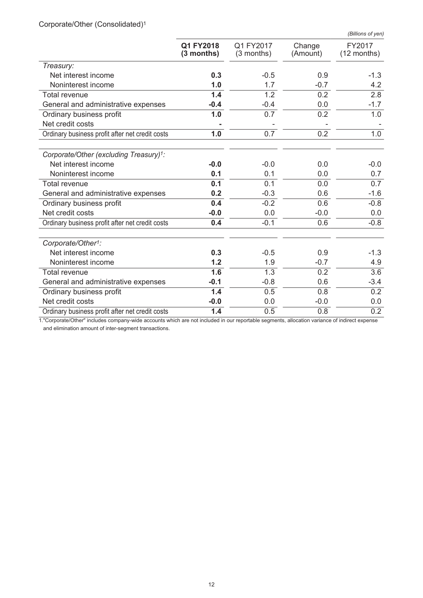| Corporate/Other (Consolidated) <sup>1</sup> |  |
|---------------------------------------------|--|

|                                                 |                         |                           |                    | (Billions of yen)     |
|-------------------------------------------------|-------------------------|---------------------------|--------------------|-----------------------|
|                                                 | Q1 FY2018<br>(3 months) | Q1 FY2017<br>$(3$ months) | Change<br>(Amount) | FY2017<br>(12 months) |
| Treasury:                                       |                         |                           |                    |                       |
| Net interest income                             | 0.3                     | $-0.5$                    | 0.9                | $-1.3$                |
| Noninterest income                              | 1.0                     | 1.7                       | $-0.7$             | 4.2                   |
| <b>Total revenue</b>                            | 1.4                     | 1.2                       | 0.2                | 2.8                   |
| General and administrative expenses             | -0.4                    | $-0.4$                    | 0.0                | $-1.7$                |
| Ordinary business profit                        | 1.0                     | 0.7                       | 0.2                | 1.0                   |
| Net credit costs                                |                         |                           |                    |                       |
| Ordinary business profit after net credit costs | 1.0                     | 0.7                       | 0.2                | 1.0                   |
| Corporate/Other (excluding Treasury)1:          |                         |                           |                    |                       |
| Net interest income                             | $-0.0$                  | $-0.0$                    | 0.0                | $-0.0$                |
| Noninterest income                              | 0.1                     | 0.1                       | 0.0                | 0.7                   |
| <b>Total revenue</b>                            | 0.1                     | 0.1                       | 0.0                | 0.7                   |
| General and administrative expenses             | 0.2                     | $-0.3$                    | 0.6                | $-1.6$                |
| Ordinary business profit                        | 0.4                     | $-0.2$                    | 0.6                | $-0.8$                |
| Net credit costs                                | $-0.0$                  | 0.0                       | $-0.0$             | 0.0                   |
| Ordinary business profit after net credit costs | 0.4                     | $-0.1$                    | 0.6                | $-0.8$                |
| Corporate/Other <sup>1</sup> :                  |                         |                           |                    |                       |
| Net interest income                             | 0.3                     | $-0.5$                    | 0.9                | $-1.3$                |
| Noninterest income                              | 1.2                     | 1.9                       | $-0.7$             | 4.9                   |
| <b>Total revenue</b>                            | 1.6                     | 1.3                       | 0.2                | 3.6                   |
| General and administrative expenses             | $-0.1$                  | $-0.8$                    | 0.6                | $-3.4$                |
| Ordinary business profit                        | 1.4                     | 0.5                       | 0.8                | 0.2                   |
| Net credit costs                                | $-0.0$                  | 0.0                       | $-0.0$             | 0.0                   |
| Ordinary business profit after net credit costs | 1.4                     | 0.5                       | 0.8                | 0.2                   |

1."Corporate/Other" includes company-wide accounts which are not included in our reportable segments, allocation variance of indirect expense and elimination amount of inter-segment transactions.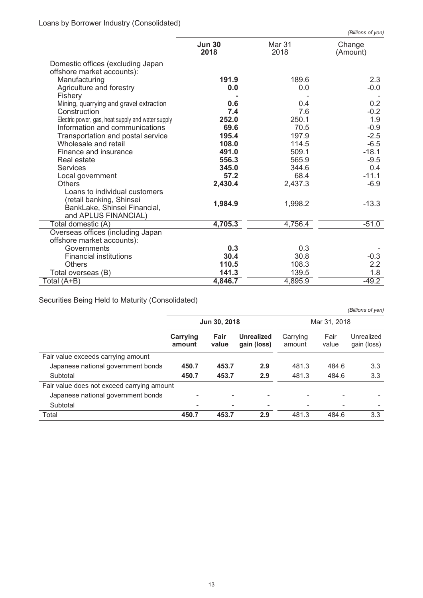|                                                   |                       |                | (Billions of yen)  |
|---------------------------------------------------|-----------------------|----------------|--------------------|
|                                                   | <b>Jun 30</b><br>2018 | Mar 31<br>2018 | Change<br>(Amount) |
| Domestic offices (excluding Japan                 |                       |                |                    |
| offshore market accounts):                        |                       |                |                    |
| Manufacturing                                     | 191.9                 | 189.6          | 2.3                |
| Agriculture and forestry                          | 0.0                   | 0.0            | $-0.0$             |
| Fishery                                           |                       |                |                    |
| Mining, quarrying and gravel extraction           | 0.6                   | 0.4            | 0.2                |
| Construction                                      | 7.4                   | 7.6            | $-0.2$             |
| Electric power, gas, heat supply and water supply | 252.0                 | 250.1          | 1.9                |
| Information and communications                    | 69.6                  | 70.5           | $-0.9$             |
| Transportation and postal service                 | 195.4                 | 197.9          | $-2.5$             |
| Wholesale and retail                              | 108.0                 | 114.5          | $-6.5$             |
| Finance and insurance                             | 491.0                 | 509.1          | $-18.1$            |
| Real estate                                       | 556.3                 | 565.9          | $-9.5$             |
| <b>Services</b>                                   | 345.0                 | 344.6          | 0.4                |
| Local government                                  | 57.2                  | 68.4           | $-11.1$            |
| <b>Others</b>                                     | 2,430.4               | 2,437.3        | $-6.9$             |
| Loans to individual customers                     |                       |                |                    |
| (retail banking, Shinsei                          | 1,984.9               | 1,998.2        | $-13.3$            |
| BankLake, Shinsei Financial,                      |                       |                |                    |
| and APLUS FINANCIAL)                              |                       |                |                    |
| Total domestic (A)                                | 4,705.3               | 4,756.4        | $-51.0$            |
| Overseas offices (including Japan                 |                       |                |                    |
| offshore market accounts):                        |                       |                |                    |
| Governments                                       | 0.3                   | 0.3            |                    |
| <b>Financial institutions</b>                     | 30.4                  | 30.8           | $-0.3$             |
| <b>Others</b>                                     | 110.5                 | 108.3          | 2.2                |
| Total overseas (B)                                | 141.3                 | 139.5          | $\overline{1.8}$   |
| Total (A+B)                                       | 4,846.7               | 4,895.9        | $-49.2$            |

Securities Being Held to Maturity (Consolidated)

|                                            | Jun 30, 2018       |               |                                  | Mar 31, 2018       |               |                           |
|--------------------------------------------|--------------------|---------------|----------------------------------|--------------------|---------------|---------------------------|
|                                            | Carrying<br>amount | Fair<br>value | <b>Unrealized</b><br>gain (loss) | Carrying<br>amount | Fair<br>value | Unrealized<br>gain (loss) |
| Fair value exceeds carrying amount         |                    |               |                                  |                    |               |                           |
| Japanese national government bonds         | 450.7              | 453.7         | 2.9                              | 481.3              | 484.6         | 3.3                       |
| Subtotal                                   | 450.7              | 453.7         | 2.9                              | 481.3              | 484.6         | 3.3                       |
| Fair value does not exceed carrying amount |                    |               |                                  |                    |               |                           |
| Japanese national government bonds         |                    |               |                                  |                    |               |                           |
| Subtotal                                   | ۰                  |               |                                  |                    |               |                           |
| Total                                      | 450.7              | 453.7         | 2.9                              | 481.3              | 484.6         | 3.3                       |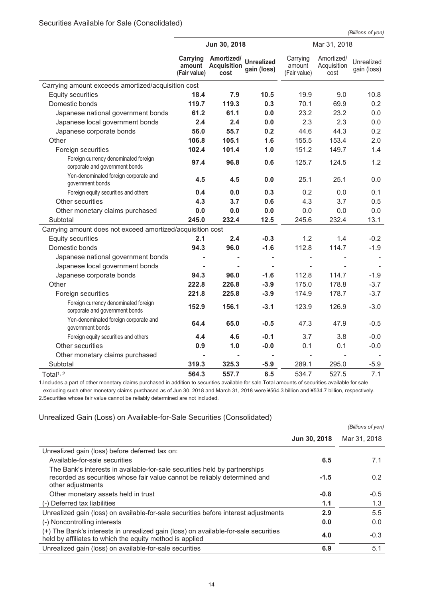*(Billions of yen)*

|                                                                        | Jun 30, 2018                       |                                          |                                  | Mar 31, 2018                       |                                   |                           |
|------------------------------------------------------------------------|------------------------------------|------------------------------------------|----------------------------------|------------------------------------|-----------------------------------|---------------------------|
|                                                                        | Carrying<br>amount<br>(Fair value) | Amortized/<br><b>Acquisition</b><br>cost | <b>Unrealized</b><br>gain (loss) | Carrying<br>amount<br>(Fair value) | Amortized/<br>Acquisition<br>cost | Unrealized<br>gain (loss) |
| Carrying amount exceeds amortized/acquisition cost                     |                                    |                                          |                                  |                                    |                                   |                           |
| <b>Equity securities</b>                                               | 18.4                               | 7.9                                      | 10.5                             | 19.9                               | 9.0                               | 10.8                      |
| Domestic bonds                                                         | 119.7                              | 119.3                                    | 0.3                              | 70.1                               | 69.9                              | 0.2                       |
| Japanese national government bonds                                     | 61.2                               | 61.1                                     | 0.0                              | 23.2                               | 23.2                              | 0.0                       |
| Japanese local government bonds                                        | 2.4                                | 2.4                                      | 0.0                              | 2.3                                | 2.3                               | 0.0                       |
| Japanese corporate bonds                                               | 56.0                               | 55.7                                     | 0.2                              | 44.6                               | 44.3                              | 0.2                       |
| Other                                                                  | 106.8                              | 105.1                                    | 1.6                              | 155.5                              | 153.4                             | 2.0                       |
| Foreign securities                                                     | 102.4                              | 101.4                                    | 1.0                              | 151.2                              | 149.7                             | 1.4                       |
| Foreign currency denominated foreign<br>corporate and government bonds | 97.4                               | 96.8                                     | 0.6                              | 125.7                              | 124.5                             | 1.2                       |
| Yen-denominated foreign corporate and<br>government bonds              | 4.5                                | 4.5                                      | 0.0                              | 25.1                               | 25.1                              | 0.0                       |
| Foreign equity securities and others                                   | 0.4                                | 0.0                                      | 0.3                              | 0.2                                | 0.0                               | 0.1                       |
| Other securities                                                       | 4.3                                | 3.7                                      | 0.6                              | 4.3                                | 3.7                               | 0.5                       |
| Other monetary claims purchased                                        | 0.0                                | 0.0                                      | 0.0                              | 0.0                                | 0.0                               | 0.0                       |
| Subtotal                                                               | 245.0                              | 232.4                                    | 12.5                             | 245.6                              | 232.4                             | 13.1                      |
| Carrying amount does not exceed amortized/acquisition cost             |                                    |                                          |                                  |                                    |                                   |                           |
| <b>Equity securities</b>                                               | 2.1                                | 2.4                                      | $-0.3$                           | 1.2                                | 1.4                               | $-0.2$                    |
| Domestic bonds                                                         | 94.3                               | 96.0                                     | $-1.6$                           | 112.8                              | 114.7                             | $-1.9$                    |
| Japanese national government bonds                                     |                                    |                                          | $\blacksquare$                   |                                    |                                   |                           |
| Japanese local government bonds                                        |                                    |                                          |                                  |                                    |                                   |                           |
| Japanese corporate bonds                                               | 94.3                               | 96.0                                     | $-1.6$                           | 112.8                              | 114.7                             | $-1.9$                    |
| Other                                                                  | 222.8                              | 226.8                                    | $-3.9$                           | 175.0                              | 178.8                             | $-3.7$                    |
| Foreign securities                                                     | 221.8                              | 225.8                                    | $-3.9$                           | 174.9                              | 178.7                             | $-3.7$                    |
| Foreign currency denominated foreign<br>corporate and government bonds | 152.9                              | 156.1                                    | $-3.1$                           | 123.9                              | 126.9                             | $-3.0$                    |
| Yen-denominated foreign corporate and<br>government bonds              | 64.4                               | 65.0                                     | $-0.5$                           | 47.3                               | 47.9                              | $-0.5$                    |
| Foreign equity securities and others                                   | 4.4                                | 4.6                                      | $-0.1$                           | 3.7                                | 3.8                               | $-0.0$                    |
| Other securities                                                       | 0.9                                | 1.0                                      | $-0.0$                           | 0.1                                | 0.1                               | $-0.0$                    |
| Other monetary claims purchased                                        | $\blacksquare$                     |                                          |                                  |                                    |                                   |                           |
| Subtotal                                                               | 319.3                              | 325.3                                    | $-5.9$                           | 289.1                              | 295.0                             | $-5.9$                    |
| Total <sup>1, 2</sup>                                                  | 564.3                              | 557.7                                    | 6.5                              | 534.7                              | 527.5                             | 7.1                       |

1.Includes a part of other monetary claims purchased in addition to securities available for sale.Total amounts of securities available for sale excluding such other monetary claims purchased as of Jun 30, 2018 and March 31, 2018 were ¥564.3 billion and ¥534.7 billion, respectively.

2.Securities whose fair value cannot be reliably determined are not included.

## Unrealized Gain (Loss) on Available-for-Sale Securities (Consolidated)

|                                                                                                                                                                              | (Billions of yen) |              |
|------------------------------------------------------------------------------------------------------------------------------------------------------------------------------|-------------------|--------------|
|                                                                                                                                                                              | Jun 30, 2018      | Mar 31, 2018 |
| Unrealized gain (loss) before deferred tax on:                                                                                                                               |                   |              |
| Available-for-sale securities                                                                                                                                                | 6.5               | 7.1          |
| The Bank's interests in available-for-sale securities held by partnerships<br>recorded as securities whose fair value cannot be reliably determined and<br>other adjustments | $-1.5$            | 0.2          |
| Other monetary assets held in trust                                                                                                                                          | $-0.8$            | $-0.5$       |
| (-) Deferred tax liabilities                                                                                                                                                 | 1.1               | 1.3          |
| Unrealized gain (loss) on available-for-sale securities before interest adjustments                                                                                          | 2.9               | 5.5          |
| (-) Noncontrolling interests                                                                                                                                                 | 0.0               | 0.0          |
| (+) The Bank's interests in unrealized gain (loss) on available-for-sale securities<br>held by affiliates to which the equity method is applied                              | 4.0               | $-0.3$       |
| Unrealized gain (loss) on available-for-sale securities                                                                                                                      | 6.9               | 5.1          |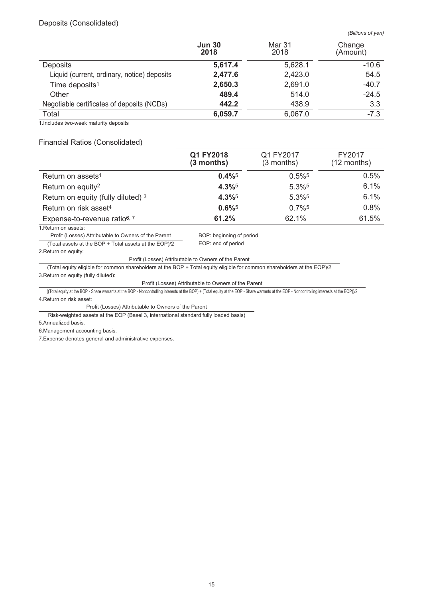## Deposits (Consolidated)

*(Billions of yen)*

|                                             | <b>Jun 30</b><br>2018 | Mar 31<br>2018 | Change<br>(Amount) |
|---------------------------------------------|-----------------------|----------------|--------------------|
| <b>Deposits</b>                             | 5,617.4               | 5,628.1        | $-10.6$            |
| Liquid (current, ordinary, notice) deposits | 2,477.6               | 2,423.0        | 54.5               |
| Time deposits <sup>1</sup>                  | 2,650.3               | 2,691.0        | $-40.7$            |
| Other                                       | 489.4                 | 514.0          | $-24.5$            |
| Negotiable certificates of deposits (NCDs)  | 442.2                 | 438.9          | 3.3                |
| Total                                       | 6,059.7               | 6,067.0        | $-7.3$             |

1.Includes two-week maturity deposits

#### Financial Ratios (Consolidated)

|                                          | Q1 FY2018<br>$(3$ months) | Q1 FY2017<br>$(3$ months) | FY2017<br>(12 months) |
|------------------------------------------|---------------------------|---------------------------|-----------------------|
| Return on assets <sup>1</sup>            | $0.4\%$ <sup>5</sup>      | $0.5\%$ <sup>5</sup>      | 0.5%                  |
| Return on equity <sup>2</sup>            | 4.3%                      | 5.3%5                     | 6.1%                  |
| Return on equity (fully diluted) 3       | $4.3\%$ <sup>5</sup>      | 5.3%5                     | 6.1%                  |
| Return on risk asset <sup>4</sup>        | $0.6\%$ <sup>5</sup>      | $0.7\%$ <sup>5</sup>      | 0.8%                  |
| Expense-to-revenue ratio <sup>6, 7</sup> | 61.2%                     | 62.1%                     | 61.5%                 |

1.Return on assets:

Profit (Losses) Attributable to Owners of the Parent BOP: beginning of period

(Total assets at the BOP + Total assets at the EOP)/2 EOP: end of period

2.Return on equity:

Profit (Losses) Attributable to Owners of the Parent

(Total equity eligible for common shareholders at the BOP + Total equity eligible for common shareholders at the EOP)/2 3.Return on equity (fully diluted):

#### Profit (Losses) Attributable to Owners of the Parent

((Total equity at the BOP - Share warrants at the BOP - Noncontrolling interests at the BOP) + (Total equity at the EOP - Share warrants at the EOP - Noncontrolling interests at the EOP))/2 4.Return on risk asset:

Profit (Losses) Attributable to Owners of the Parent

Risk-weighted assets at the EOP (Basel 3, international standard fully loaded basis)

5.Annualized basis.

6.Management accounting basis.

7.Expense denotes general and administrative expenses.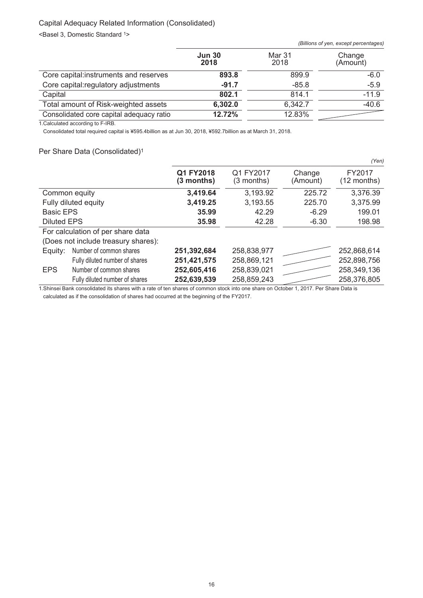## Capital Adequacy Related Information (Consolidated)

<Basel 3, Domestic Standard 1>

|                                          |                       |                | (Billions of yen, except percentages) |
|------------------------------------------|-----------------------|----------------|---------------------------------------|
|                                          | <b>Jun 30</b><br>2018 | Mar 31<br>2018 | Change<br>(Amount)                    |
| Core capital:instruments and reserves    | 893.8                 | 899.9          | $-6.0$                                |
| Core capital: regulatory adjustments     | $-91.7$               | $-85.8$        | $-5.9$                                |
| Capital                                  | 802.1                 | 814.1          | $-11.9$                               |
| Total amount of Risk-weighted assets     | 6,302.0               | 6,342.7        | $-40.6$                               |
| Consolidated core capital adequacy ratio | 12.72%                | 12.83%         |                                       |

1.Calculated according to F-IRB.

Consolidated total required capital is ¥595.4billion as at Jun 30, 2018, ¥592.7billion as at March 31, 2018.

#### Per Share Data (Consolidated)<sup>1</sup>

|                    |                                     |                         |                         |                    | (Yen)                   |
|--------------------|-------------------------------------|-------------------------|-------------------------|--------------------|-------------------------|
|                    |                                     | Q1 FY2018<br>(3 months) | Q1 FY2017<br>(3 months) | Change<br>(Amount) | FY2017<br>$(12$ months) |
|                    | Common equity                       | 3,419.64                | 3,193.92                | 225.72             | 3,376.39                |
|                    | Fully diluted equity                | 3,419.25                | 3,193.55                | 225.70             | 3,375.99                |
| <b>Basic EPS</b>   |                                     | 35.99                   | 42.29                   | $-6.29$            | 199.01                  |
| <b>Diluted EPS</b> |                                     | 35.98                   | 42.28                   | $-6.30$            | 198.98                  |
|                    | For calculation of per share data   |                         |                         |                    |                         |
|                    | (Does not include treasury shares): |                         |                         |                    |                         |
| Equity:            | Number of common shares             | 251,392,684             | 258,838,977             |                    | 252,868,614             |
|                    | Fully diluted number of shares      | 251,421,575             | 258,869,121             |                    | 252,898,756             |
| <b>EPS</b>         | Number of common shares             | 252,605,416             | 258,839,021             |                    | 258,349,136             |
|                    | Fully diluted number of shares      | 252,639,539             | 258,859,243             |                    | 258,376,805             |

1.Shinsei Bank consolidated its shares with a rate of ten shares of common stock into one share on October 1, 2017. Per Share Data is calculated as if the consolidation of shares had occurred at the beginning of the FY2017.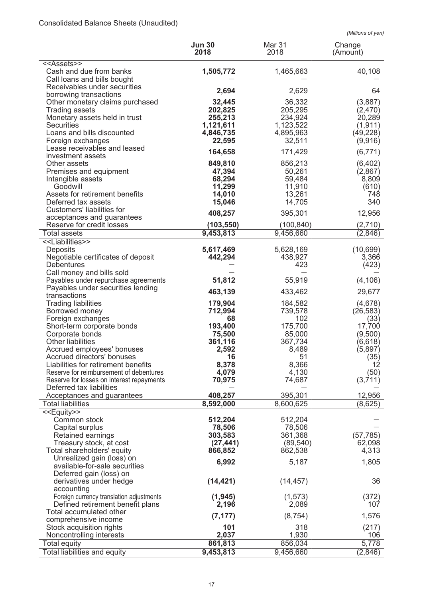# Consolidated Balance Sheets (Unaudited)

*(Millions of yen)*

|                                                            | <b>Jun 30</b><br>2018 | Mar 31<br>2018       | Change<br>(Amount) |
|------------------------------------------------------------|-----------------------|----------------------|--------------------|
| < <assets>&gt;</assets>                                    |                       |                      |                    |
| Cash and due from banks                                    | 1,505,772             | 1,465,663            | 40,108             |
| Call loans and bills bought                                |                       |                      |                    |
| Receivables under securities                               | 2,694                 | 2,629                | 64                 |
| borrowing transactions                                     |                       |                      |                    |
| Other monetary claims purchased                            | 32,445                | 36,332               | (3,887)            |
| <b>Trading assets</b>                                      | 202,825               | 205,295              | (2,470)            |
| Monetary assets held in trust<br><b>Securities</b>         | 255,213<br>1,121,611  | 234,924<br>1,123,522 | 20,289<br>(1, 911) |
| Loans and bills discounted                                 | 4,846,735             | 4,895,963            | (49, 228)          |
| Foreign exchanges                                          | 22,595                | 32,511               | (9,916)            |
| Lease receivables and leased                               |                       |                      |                    |
| investment assets                                          | 164,658               | 171,429              | (6, 771)           |
| Other assets                                               | 849,810               | 856,213              | (6, 402)           |
| Premises and equipment                                     | 47,394                | 50,261               | (2,867)            |
| Intangible assets                                          | 68,294                | 59,484               | 8,809              |
| Goodwill                                                   | 11,299                | 11,910               | (610)              |
| Assets for retirement benefits                             | 14,010                | 13,261               | 748                |
| Deferred tax assets                                        | 15,046                | 14,705               | 340                |
| Customers' liabilities for                                 | 408,257               | 395,301              | 12,956             |
| acceptances and guarantees                                 |                       |                      |                    |
| Reserve for credit losses                                  | (103, 550)            | (100, 840)           | (2,710)            |
| Total assets                                               | 9,453,813             | 9,456,660            | (2,846)            |
| < <liabilities>&gt;</liabilities>                          |                       |                      |                    |
| Deposits                                                   | 5,617,469             | 5,628,169            | (10, 699)          |
| Negotiable certificates of deposit                         | 442,294               | 438,927              | 3,366              |
| <b>Debentures</b>                                          |                       | 423                  | (423)              |
| Call money and bills sold                                  |                       |                      |                    |
| Payables under repurchase agreements                       | 51,812                | 55,919               | (4, 106)           |
| Payables under securities lending<br>transactions          | 463,139               | 433,462              | 29,677             |
| <b>Trading liabilities</b>                                 | 179,904               | 184,582              | (4,678)            |
| Borrowed money                                             | 712,994               | 739,578              | (26, 583)          |
| Foreign exchanges                                          | 68                    | 102                  | (33)               |
| Short-term corporate bonds                                 | 193,400               | 175,700              | 17,700             |
| Corporate bonds                                            | 75,500                | 85,000               | (9,500)            |
| <b>Other liabilities</b>                                   | 361,116               | 367,734              | (6,618)            |
| Accrued employees' bonuses                                 | 2,592                 | 8,489                | (5,897)            |
| Accrued directors' bonuses                                 | 16                    | 51                   | (35)               |
| Liabilities for retirement benefits                        | 8,378                 | 8,366                | 12                 |
| Reserve for reimbursement of debentures                    | 4,079                 | 4,130                | (50)               |
| Reserve for losses on interest repayments                  | 70,975                | 74,687               | (3,711)            |
| Deferred tax liabilities                                   |                       |                      |                    |
| Acceptances and guarantees                                 | 408,257               | 395,301              | 12,956             |
| Total liabilities                                          | 8,592,000             | 8,600,625            | (8,625)            |
| < <equity>&gt;</equity>                                    |                       |                      |                    |
| Common stock                                               | 512,204               | 512,204              |                    |
| Capital surplus                                            | 78,506                | 78,506               |                    |
| Retained earnings                                          | 303,583               | 361,368              | (57, 785)          |
| Treasury stock, at cost                                    | (27, 441)             | (89, 540)            | 62,098             |
| Total shareholders' equity                                 | 866,852               | 862,538              | 4,313              |
| Unrealized gain (loss) on<br>available-for-sale securities | 6,992                 | 5,187                | 1,805              |
| Deferred gain (loss) on                                    |                       |                      |                    |
| derivatives under hedge                                    | (14, 421)             | (14, 457)            | 36                 |
| accounting                                                 |                       |                      |                    |
| Foreign currency translation adjustments                   | (1, 945)              | (1, 573)             | (372)              |
| Defined retirement benefit plans                           | 2,196                 | 2,089                | 107                |
| Total accumulated other                                    |                       |                      |                    |
| comprehensive income                                       | (7, 177)              | (8, 754)             | 1,576              |
| Stock acquisition rights                                   | 101                   | 318                  | (217)              |
| Noncontrolling interests                                   | 2,037                 | 1,930                | 106                |
| Total equity                                               | 861,813               | 856,034              | 5,778              |
| Total liabilities and equity                               | 9,453,813             | 9,456,660            | (2,846)            |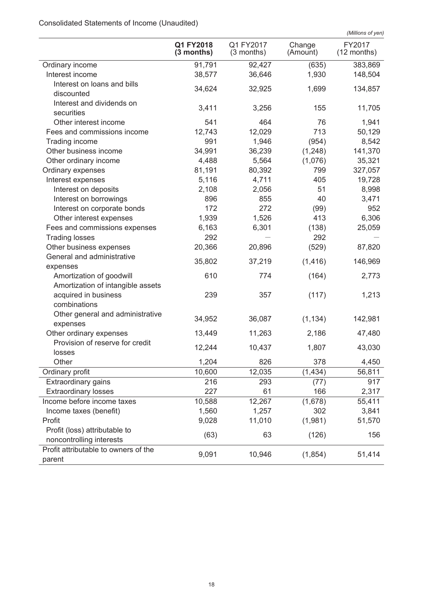# Consolidated Statements of Income (Unaudited)

|                                                |                           |                         |                    | (Millions of yen)     |
|------------------------------------------------|---------------------------|-------------------------|--------------------|-----------------------|
|                                                | Q1 FY2018<br>$(3$ months) | Q1 FY2017<br>(3 months) | Change<br>(Amount) | FY2017<br>(12 months) |
| Ordinary income                                | 91,791                    | 92,427                  | (635)              | 383,869               |
| Interest income                                | 38,577                    | 36,646                  | 1,930              | 148,504               |
| Interest on loans and bills<br>discounted      | 34,624                    | 32,925                  | 1,699              | 134,857               |
| Interest and dividends on<br>securities        | 3,411                     | 3,256                   | 155                | 11,705                |
| Other interest income                          | 541                       | 464                     | 76                 | 1,941                 |
| Fees and commissions income                    | 12,743                    | 12,029                  | 713                | 50,129                |
| Trading income                                 | 991                       | 1,946                   | (954)              | 8,542                 |
| Other business income                          | 34,991                    | 36,239                  | (1, 248)           | 141,370               |
| Other ordinary income                          | 4,488                     | 5,564                   | (1,076)            | 35,321                |
| Ordinary expenses                              | 81,191                    | 80,392                  | 799                | 327,057               |
| Interest expenses                              | 5,116                     | 4,711                   | 405                | 19,728                |
| Interest on deposits                           | 2,108                     | 2,056                   | 51                 | 8,998                 |
| Interest on borrowings                         | 896                       | 855                     | 40                 | 3,471                 |
| Interest on corporate bonds                    | 172                       | 272                     | (99)               | 952                   |
| Other interest expenses                        | 1,939                     | 1,526                   | 413                | 6,306                 |
| Fees and commissions expenses                  | 6,163                     | 6,301                   | (138)              | 25,059                |
| <b>Trading losses</b>                          | 292                       |                         | 292                |                       |
| Other business expenses                        | 20,366                    | 20,896                  | (529)              | 87,820                |
| General and administrative                     |                           |                         |                    |                       |
| expenses                                       | 35,802                    | 37,219                  | (1, 416)           | 146,969               |
| Amortization of goodwill                       | 610                       | 774                     | (164)              | 2,773                 |
| Amortization of intangible assets              |                           |                         |                    |                       |
| acquired in business<br>combinations           | 239                       | 357                     | (117)              | 1,213                 |
| Other general and administrative<br>expenses   | 34,952                    | 36,087                  | (1, 134)           | 142,981               |
| Other ordinary expenses                        | 13,449                    | 11,263                  | 2,186              | 47,480                |
| Provision of reserve for credit<br>losses      | 12,244                    | 10,437                  | 1,807              | 43,030                |
| Other                                          | 1,204                     | 826                     | 378                | 4,450                 |
| Ordinary profit                                | 10,600                    | 12,035                  | (1, 434)           | 56,811                |
| Extraordinary gains                            | 216                       | 293                     | (77)               | 917                   |
| <b>Extraordinary losses</b>                    | 227                       | 61                      | 166                | 2,317                 |
| Income before income taxes                     | 10,588                    | 12,267                  | (1,678)            | 55,411                |
| Income taxes (benefit)                         | 1,560                     | 1,257                   | 302                | 3,841                 |
| Profit                                         | 9,028                     | 11,010                  | (1,981)            | 51,570                |
| Profit (loss) attributable to                  |                           |                         |                    |                       |
| noncontrolling interests                       | (63)                      | 63                      | (126)              | 156                   |
| Profit attributable to owners of the<br>parent | 9,091                     | 10,946                  | (1,854)            | 51,414                |
|                                                |                           |                         |                    |                       |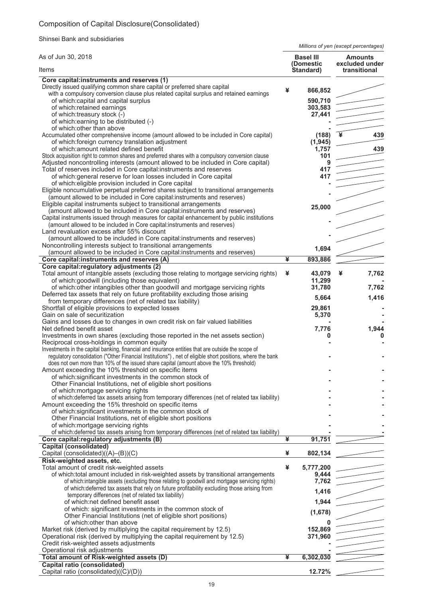# Composition of Capital Disclosure(Consolidated)

Shinsei Bank and subsidiaries

*Millions of yen (except percentages)*

| Items<br>Core capital:instruments and reserves (1)                                                                                                                                                                                                                                                                                                                                                                                                                                                                                                                                                                                                                                                                                                                                                                                                               |   | (Domestic<br>Standard)                                         | excluded under<br>transitional |
|------------------------------------------------------------------------------------------------------------------------------------------------------------------------------------------------------------------------------------------------------------------------------------------------------------------------------------------------------------------------------------------------------------------------------------------------------------------------------------------------------------------------------------------------------------------------------------------------------------------------------------------------------------------------------------------------------------------------------------------------------------------------------------------------------------------------------------------------------------------|---|----------------------------------------------------------------|--------------------------------|
|                                                                                                                                                                                                                                                                                                                                                                                                                                                                                                                                                                                                                                                                                                                                                                                                                                                                  |   |                                                                |                                |
| Directly issued qualifying common share capital or preferred share capital<br>with a compulsory conversion clause plus related capital surplus and retained earnings<br>of which: capital and capital surplus<br>of which:retained earnings<br>of which:treasury stock (-)<br>of which: earning to be distributed (-)                                                                                                                                                                                                                                                                                                                                                                                                                                                                                                                                            | ¥ | 866,852<br>590,710<br>303,583<br>27,441                        |                                |
| of which: other than above<br>Accumulated other comprehensive income (amount allowed to be included in Core capital)<br>of which: foreign currency translation adjustment<br>of which: amount related defined benefit<br>Stock acquisition right to common shares and preferred shares with a compulsory conversion clause<br>Adjusted noncontrolling interests (amount allowed to be included in Core capital)<br>Total of reserves included in Core capital:instruments and reserves<br>of which: general reserve for loan losses included in Core capital<br>of which: eligible provision included in Core capital<br>Eligible noncumulative perpetual preferred shares subject to transitional arrangements<br>(amount allowed to be included in Core capital:instruments and reserves)<br>Eligible capital instruments subject to transitional arrangements |   | (188)<br>(1, 945)<br>1,757<br>101<br>9<br>417<br>417<br>25,000 | 439<br>439                     |
| (amount allowed to be included in Core capital: instruments and reserves)<br>Capital instruments issued through measures for capital enhancement by public institutions<br>(amount allowed to be included in Core capital: instruments and reserves)<br>Land revaluation excess after 55% discount<br>(amount allowed to be included in Core capital:instruments and reserves)<br>Noncontrolling interests subject to transitional arrangements<br>(amount allowed to be included in Core capital:instruments and reserves)                                                                                                                                                                                                                                                                                                                                      |   | 1,694                                                          |                                |
| Core capital:instruments and reserves (A)<br>Core capital: regulatory adjustments (2)                                                                                                                                                                                                                                                                                                                                                                                                                                                                                                                                                                                                                                                                                                                                                                            | ¥ | 893,886                                                        |                                |
| Total amount of intangible assets (excluding those relating to mortgage servicing rights)<br>of which:goodwill (including those equivalent)<br>of which: other intangibles other than goodwill and mortgage servicing rights<br>Deferred tax assets that rely on future profitability excluding those arising                                                                                                                                                                                                                                                                                                                                                                                                                                                                                                                                                    | ¥ | 43,079<br>11,299<br>31,780                                     | 7,762<br>¥<br>7,762            |
| from temporary differences (net of related tax liability)<br>Shortfall of eligible provisions to expected losses<br>Gain on sale of securitization<br>Gains and losses due to changes in own credit risk on fair valued liabilities                                                                                                                                                                                                                                                                                                                                                                                                                                                                                                                                                                                                                              |   | 5,664<br>29,861<br>5,370                                       | 1,416                          |
| Net defined benefit asset<br>Investments in own shares (excluding those reported in the net assets section)<br>Reciprocal cross-holdings in common equity<br>Investments in the capital banking, financial and insurance entities that are outside the scope of<br>regulatory consolidation ("Other Financial Institutions"), net of eligible short positions, where the bank<br>does not own more than 10% of the issued share capital (amount above the 10% threshold)                                                                                                                                                                                                                                                                                                                                                                                         |   | 7,776                                                          | 1,944<br>0                     |
| Amount exceeding the 10% threshold on specific items<br>of which: significant investments in the common stock of<br>Other Financial Institutions, net of eligible short positions<br>of which: mortgage servicing rights<br>of which: deferred tax assets arising from temporary differences (net of related tax liability)                                                                                                                                                                                                                                                                                                                                                                                                                                                                                                                                      |   |                                                                |                                |
| Amount exceeding the 15% threshold on specific items<br>of which: significant investments in the common stock of<br>Other Financial Institutions, net of eligible short positions<br>of which: mortgage servicing rights<br>of which: deferred tax assets arising from temporary differences (net of related tax liability)                                                                                                                                                                                                                                                                                                                                                                                                                                                                                                                                      |   |                                                                |                                |
| Core capital: regulatory adjustments (B)                                                                                                                                                                                                                                                                                                                                                                                                                                                                                                                                                                                                                                                                                                                                                                                                                         | ¥ | 91,751                                                         |                                |
| <b>Capital (consolidated)</b><br>Capital (consolidated)((A)-(B))(C)                                                                                                                                                                                                                                                                                                                                                                                                                                                                                                                                                                                                                                                                                                                                                                                              | ¥ | 802,134                                                        |                                |
| Risk-weighted assets, etc.<br>Total amount of credit risk-weighted assets<br>of which:total amount included in risk-weighted assets by transitional arrangements<br>of which:intangible assets (excluding those relating to goodwill and mortgage servicing rights)<br>of which: deferred tax assets that rely on future profitability excluding those arising from<br>temporary differences (net of related tax liability)                                                                                                                                                                                                                                                                                                                                                                                                                                      | ¥ | 5,777,200<br>9,444<br>7,762<br>1,416                           |                                |
| of which:net defined benefit asset<br>of which: significant investments in the common stock of<br>Other Financial Institutions (net of eligible short positions)<br>of which: other than above<br>Market risk (derived by multiplying the capital requirement by 12.5)                                                                                                                                                                                                                                                                                                                                                                                                                                                                                                                                                                                           |   | 1,944<br>(1,678)<br>152,869                                    |                                |
| Operational risk (derived by multiplying the capital requirement by 12.5)<br>Credit risk-weighted assets adjustments<br>Operational risk adjustments<br>Total amount of Risk-weighted assets (D)<br><b>Capital ratio (consolidated)</b><br>Capital ratio (consolidated)((C)/(D))                                                                                                                                                                                                                                                                                                                                                                                                                                                                                                                                                                                 | ¥ | 371,960<br>6,302,030<br>12.72%                                 |                                |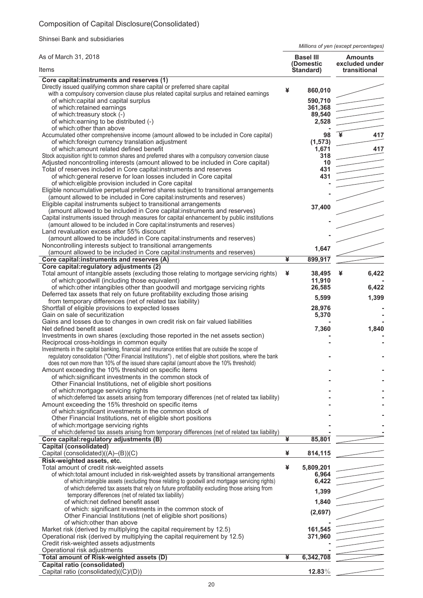# Composition of Capital Disclosure(Consolidated)

Shinsei Bank and subsidiaries

*Millions of yen (except percentages)*

| As of March 31, 2018                                                                                                                                                                   |   | <b>Basel III</b><br>(Domestic | <b>Amounts</b><br>excluded under |
|----------------------------------------------------------------------------------------------------------------------------------------------------------------------------------------|---|-------------------------------|----------------------------------|
| Items                                                                                                                                                                                  |   | Standard)                     | transitional                     |
| Core capital:instruments and reserves (1)                                                                                                                                              |   |                               |                                  |
| Directly issued qualifying common share capital or preferred share capital                                                                                                             | ¥ | 860,010                       |                                  |
| with a compulsory conversion clause plus related capital surplus and retained earnings<br>of which:capital and capital surplus                                                         |   | 590,710                       |                                  |
| of which:retained earnings                                                                                                                                                             |   | 361,368                       |                                  |
| of which:treasury stock (-)                                                                                                                                                            |   | 89,540                        |                                  |
| of which: earning to be distributed (-)                                                                                                                                                |   | 2,528                         |                                  |
| of which: other than above                                                                                                                                                             |   |                               |                                  |
| Accumulated other comprehensive income (amount allowed to be included in Core capital)                                                                                                 |   | 98                            | 417                              |
| of which: foreign currency translation adjustment                                                                                                                                      |   | (1, 573)                      |                                  |
| of which: amount related defined benefit<br>Stock acquisition right to common shares and preferred shares with a compulsory conversion clause                                          |   | 1,671                         | 417                              |
| Adjusted noncontrolling interests (amount allowed to be included in Core capital)                                                                                                      |   | 318<br>10                     |                                  |
| Total of reserves included in Core capital:instruments and reserves                                                                                                                    |   | 431                           |                                  |
| of which: general reserve for loan losses included in Core capital                                                                                                                     |   | 431                           |                                  |
| of which: eligible provision included in Core capital                                                                                                                                  |   |                               |                                  |
| Eligible noncumulative perpetual preferred shares subject to transitional arrangements                                                                                                 |   |                               |                                  |
| (amount allowed to be included in Core capital:instruments and reserves)                                                                                                               |   |                               |                                  |
| Eligible capital instruments subject to transitional arrangements                                                                                                                      |   | 37,400                        |                                  |
| (amount allowed to be included in Core capital: instruments and reserves)<br>Capital instruments issued through measures for capital enhancement by public institutions                |   |                               |                                  |
| (amount allowed to be included in Core capital: instruments and reserves)                                                                                                              |   |                               |                                  |
| Land revaluation excess after 55% discount                                                                                                                                             |   |                               |                                  |
| (amount allowed to be included in Core capital:instruments and reserves)                                                                                                               |   |                               |                                  |
| Noncontrolling interests subject to transitional arrangements                                                                                                                          |   | 1,647                         |                                  |
| (amount allowed to be included in Core capital:instruments and reserves)                                                                                                               |   |                               |                                  |
| Core capital:instruments and reserves (A)                                                                                                                                              | ¥ | 899,917                       |                                  |
| Core capital: regulatory adjustments (2)                                                                                                                                               |   |                               |                                  |
| Total amount of intangible assets (excluding those relating to mortgage servicing rights)                                                                                              | ¥ | 38,495                        | 6,422<br>¥                       |
| of which:goodwill (including those equivalent)<br>of which: other intangibles other than goodwill and mortgage servicing rights                                                        |   | 11,910<br>26,585              | 6,422                            |
| Deferred tax assets that rely on future profitability excluding those arising                                                                                                          |   |                               |                                  |
| from temporary differences (net of related tax liability)                                                                                                                              |   | 5,599                         | 1,399                            |
| Shortfall of eligible provisions to expected losses                                                                                                                                    |   | 28,976                        |                                  |
| Gain on sale of securitization                                                                                                                                                         |   | 5,370                         |                                  |
| Gains and losses due to changes in own credit risk on fair valued liabilities                                                                                                          |   |                               |                                  |
| Net defined benefit asset                                                                                                                                                              |   | 7,360                         | 1,840                            |
| Investments in own shares (excluding those reported in the net assets section)                                                                                                         |   |                               |                                  |
| Reciprocal cross-holdings in common equity<br>Investments in the capital banking, financial and insurance entities that are outside the scope of                                       |   |                               |                                  |
| regulatory consolidation ("Other Financial Institutions"), net of eligible short positions, where the bank                                                                             |   |                               |                                  |
| does not own more than 10% of the issued share capital (amount above the 10% threshold)                                                                                                |   |                               |                                  |
| Amount exceeding the 10% threshold on specific items                                                                                                                                   |   |                               |                                  |
| of which: significant investments in the common stock of                                                                                                                               |   |                               |                                  |
| Other Financial Institutions, net of eligible short positions                                                                                                                          |   |                               |                                  |
| of which:mortgage servicing rights                                                                                                                                                     |   |                               |                                  |
| of which: deferred tax assets arising from temporary differences (net of related tax liability)                                                                                        |   |                               |                                  |
| Amount exceeding the 15% threshold on specific items<br>of which: significant investments in the common stock of                                                                       |   |                               |                                  |
| Other Financial Institutions, net of eligible short positions                                                                                                                          |   |                               |                                  |
| of which: mortgage servicing rights                                                                                                                                                    |   |                               |                                  |
| of which: deferred tax assets arising from temporary differences (net of related tax liability)                                                                                        |   |                               |                                  |
| Core capital: regulatory adjustments (B)                                                                                                                                               | ¥ | 85,801                        |                                  |
| <b>Capital (consolidated)</b>                                                                                                                                                          |   |                               |                                  |
| Capital (consolidated) $((A)$ – $(B)$ ) $(C)$                                                                                                                                          | ¥ | 814,115                       |                                  |
| Risk-weighted assets, etc.                                                                                                                                                             |   |                               |                                  |
| Total amount of credit risk-weighted assets                                                                                                                                            | ¥ | 5,809,201                     |                                  |
| of which:total amount included in risk-weighted assets by transitional arrangements<br>of which:intangible assets (excluding those relating to goodwill and mortgage servicing rights) |   | 6,964<br>6,422                |                                  |
| of which: deferred tax assets that rely on future profitability excluding those arising from                                                                                           |   |                               |                                  |
| temporary differences (net of related tax liability)                                                                                                                                   |   | 1,399                         |                                  |
| of which:net defined benefit asset                                                                                                                                                     |   | 1,840                         |                                  |
| of which: significant investments in the common stock of                                                                                                                               |   | (2,697)                       |                                  |
| Other Financial Institutions (net of eligible short positions)                                                                                                                         |   |                               |                                  |
| of which: other than above                                                                                                                                                             |   |                               |                                  |
| Market risk (derived by multiplying the capital requirement by 12.5)                                                                                                                   |   | 161,545                       |                                  |
| Operational risk (derived by multiplying the capital requirement by 12.5)                                                                                                              |   | 371,960                       |                                  |
| Credit risk-weighted assets adjustments<br>Operational risk adjustments                                                                                                                |   |                               |                                  |
| Total amount of Risk-weighted assets (D)                                                                                                                                               | ¥ | 6,342,708                     |                                  |
| <b>Capital ratio (consolidated)</b>                                                                                                                                                    |   |                               |                                  |
| Capital ratio (consolidated)((C)/(D))                                                                                                                                                  |   | $12.83\%$                     |                                  |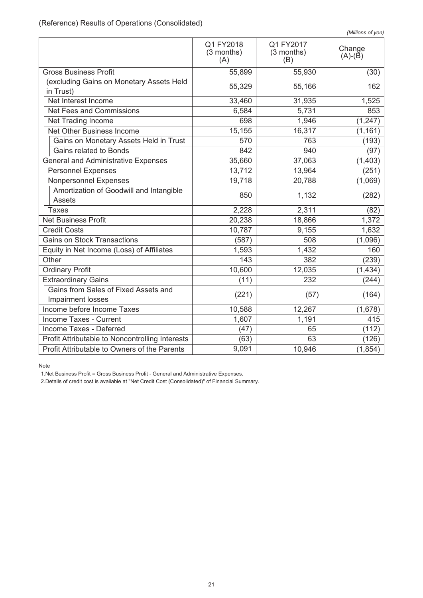|                                                 | Q1 FY2018<br>(3 months)<br>(A) | Q1 FY2017<br>(3 months)<br>(B) | Change<br>$(A)-(B)$ |
|-------------------------------------------------|--------------------------------|--------------------------------|---------------------|
| <b>Gross Business Profit</b>                    | 55,899                         | 55,930                         | (30)                |
| (excluding Gains on Monetary Assets Held        | 55,329                         | 55,166                         | 162                 |
| in Trust)                                       |                                |                                |                     |
| Net Interest Income                             | 33,460                         | 31,935                         | 1,525               |
| Net Fees and Commissions                        | 6,584                          | 5,731                          | 853                 |
| Net Trading Income                              | 698                            | 1,946                          | (1, 247)            |
| Net Other Business Income                       | 15,155                         | 16,317                         | (1, 161)            |
| Gains on Monetary Assets Held in Trust          | 570                            | 763                            | (193)               |
| Gains related to Bonds                          | 842                            | 940                            | (97)                |
| <b>General and Administrative Expenses</b>      | 35,660                         | 37,063                         | (1, 403)            |
| <b>Personnel Expenses</b>                       | 13,712                         | 13,964                         | (251)               |
| Nonpersonnel Expenses                           | 19,718                         | 20,788                         | (1,069)             |
| Amortization of Goodwill and Intangible         | 850                            |                                |                     |
| <b>Assets</b>                                   |                                | 1,132                          | (282)               |
| <b>Taxes</b>                                    | 2,228                          | 2,311                          | (82)                |
| <b>Net Business Profit</b>                      | 20,238                         | 18,866                         | 1,372               |
| <b>Credit Costs</b>                             | 10,787                         | 9,155                          | 1,632               |
| <b>Gains on Stock Transactions</b>              | (587)                          | 508                            | (1,096)             |
| Equity in Net Income (Loss) of Affiliates       | 1,593                          | 1,432                          | 160                 |
| Other                                           | 143                            | 382                            | (239)               |
| <b>Ordinary Profit</b>                          | 10,600                         | 12,035                         | (1, 434)            |
| <b>Extraordinary Gains</b>                      | (11)                           | 232                            | (244)               |
| Gains from Sales of Fixed Assets and            |                                |                                |                     |
| Impairment losses                               | (221)                          | (57)                           | (164)               |
| Income before Income Taxes                      | 10,588                         | 12,267                         | (1,678)             |
| Income Taxes - Current                          | 1,607                          | 1,191                          | 415                 |
| Income Taxes - Deferred                         | (47)                           | 65                             | (112)               |
| Profit Attributable to Noncontrolling Interests | (63)                           | 63                             | (126)               |
| Profit Attributable to Owners of the Parents    | 9,091                          | 10,946                         | (1, 854)            |

Note

1.Net Business Profit = Gross Business Profit - General and Administrative Expenses.

2.Details of credit cost is available at "Net Credit Cost (Consolidated)" of Financial Summary.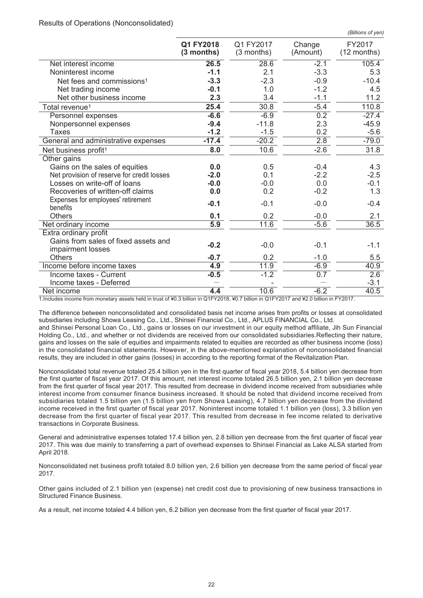| (Billions of yen) |  |
|-------------------|--|
|                   |  |

|                                                | Q1 FY2018<br>(3 months) | Q1 FY2017<br>$(3$ months) | Change<br>(Amount) | FY2017<br>$(12$ months) |
|------------------------------------------------|-------------------------|---------------------------|--------------------|-------------------------|
| Net interest income                            | 26.5                    | 28.6                      | $-2.1$             | 105.4                   |
| Noninterest income                             | $-1.1$                  | 2.1                       | $-3.3$             | 5.3                     |
| Net fees and commissions <sup>1</sup>          | $-3.3$                  | $-2.3$                    | $-0.9$             | $-10.4$                 |
| Net trading income                             | $-0.1$                  | 1.0                       | $-1.2$             | 4.5                     |
| Net other business income                      | 2.3                     | 3.4                       | $-1.1$             | 11.2                    |
| Total revenue <sup>1</sup>                     | 25.4                    | 30.8                      | $-5.4$             | 110.8                   |
| Personnel expenses                             | $-6.6$                  | $-6.9$                    | $\overline{0.2}$   | $-27.4$                 |
| Nonpersonnel expenses                          | $-9.4$                  | $-11.8$                   | 2.3                | $-45.9$                 |
| <b>Taxes</b>                                   | $-1.2$                  | $-1.5$                    | 0.2                | $-5.6$                  |
| General and administrative expenses            | $-17.4$                 | $-20.2$                   | 2.8                | $-79.0$                 |
| Net business profit <sup>1</sup>               | 8.0                     | 10.6                      | $-2.6$             | 31.8                    |
| Other gains                                    |                         |                           |                    |                         |
| Gains on the sales of equities                 | 0.0                     | 0.5                       | $-0.4$             | 4.3                     |
| Net provision of reserve for credit losses     | $-2.0$                  | 0.1                       | $-2.2$             | $-2.5$                  |
| Losses on write-off of loans                   | $-0.0$                  | $-0.0$                    | 0.0                | $-0.1$                  |
| Recoveries of written-off claims               | 0.0                     | 0.2                       | $-0.2$             | 1.3                     |
| Expenses for employees' retirement<br>benefits | $-0.1$                  | $-0.1$                    | $-0.0$             | $-0.4$                  |
| <b>Others</b>                                  | 0.1                     | 0.2                       | $-0.0$             | 2.1                     |
| Net ordinary income                            | 5.9                     | 11.6                      | $-5.6$             | 36.5                    |
| Extra ordinary profit                          |                         |                           |                    |                         |
| Gains from sales of fixed assets and           | $-0.2$                  | $-0.0$                    | $-0.1$             | $-1.1$                  |
| impairment losses                              |                         |                           |                    |                         |
| <b>Others</b>                                  | $-0.7$                  | 0.2                       | $-1.0$             | 5.5                     |
| Income before income taxes                     | 4.9                     | 11.9                      | $-6.9$             | 40.9                    |
| Income taxes - Current                         | $-0.5$                  | $-1.2$                    | 0.7                | 2.6                     |
| Income taxes - Deferred                        |                         |                           |                    | $-3.1$                  |
| Net income                                     | 4.4                     | 10.6                      | $-6.2$             | 40.5                    |

1.Includes income from monetary assets held in trust of ¥0.3 billion in Q1FY2018, ¥0.7 billion in Q1FY2017 and ¥2.0 billion in FY2017.

The difference between nonconsolidated and consolidated basis net income arises from profits or losses at consolidated subsidiaries including Showa Leasing Co., Ltd., Shinsei Financial Co., Ltd., APLUS FINANCIAL Co., Ltd.

and Shinsei Personal Loan Co., Ltd., gains or losses on our investment in our equity method affiliate, Jih Sun Financial Holding Co., Ltd., and whether or not dividends are received from our consolidated subsidiaries.Reflecting their nature, gains and losses on the sale of equities and impairments related to equities are recorded as other business income (loss) in the consolidated financial statements. However, in the above-mentioned explanation of nonconsolidated financial results, they are included in other gains (losses) in according to the reporting format of the Revitalization Plan.

Nonconsolidated total revenue totaled 25.4 billion yen in the first quarter of fiscal year 2018, 5.4 billion yen decrease from the first quarter of fiscal year 2017. Of this amount, net interest income totaled 26.5 billion yen, 2.1 billion yen decrease from the first quarter of fiscal year 2017. This resulted from decrease in dividend income received from subsidiaries while interest income from consumer finance business increased. It should be noted that dividend income received from subsidiaries totaled 1.5 billion yen (1.5 billion yen from Showa Leasing), 4.7 billion yen decrease from the dividend income received in the first quarter of fiscal year 2017. Noninterest income totaled 1.1 billion yen (loss), 3.3 billion yen decrease from the first quarter of fiscal year 2017. This resulted from decrease in fee income related to derivative transactions in Corporate Business.

General and administrative expenses totaled 17.4 billion yen, 2.8 billion yen decrease from the first quarter of fiscal year 2017. This was due mainly to transferring a part of overhead expenses to Shinsei Financial as Lake ALSA started from April 2018.

Nonconsolidated net business profit totaled 8.0 billion yen, 2.6 billion yen decrease from the same period of fiscal year 2017.

Other gains included of 2.1 billion yen (expense) net credit cost due to provisioning of new business transactions in Structured Finance Business.

As a result, net income totaled 4.4 billion yen, 6.2 billion yen decrease from the first quarter of fiscal year 2017.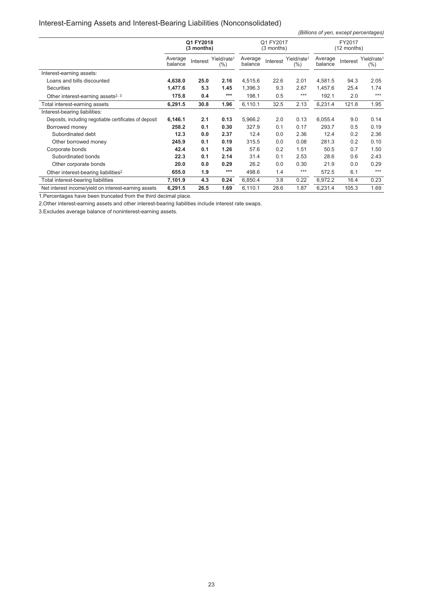# Interest-Earning Assets and Interest-Bearing Liabilities (Nonconsolidated)

*(Billions of yen, except percentages)*

|                                                        | Q1 FY2018<br>$(3$ months) |          |                                    | Q1 FY2017<br>$(3$ months) |          |                                | FY2017<br>(12 months) |          |                                    |
|--------------------------------------------------------|---------------------------|----------|------------------------------------|---------------------------|----------|--------------------------------|-----------------------|----------|------------------------------------|
|                                                        | Average<br>balance        | Interest | Yield/rate <sup>1</sup><br>$(\% )$ | Average<br>balance        | Interest | Yield/rate <sup>1</sup><br>(%) | Average<br>balance    | Interest | Yield/rate <sup>1</sup><br>$(\% )$ |
| Interest-earning assets:                               |                           |          |                                    |                           |          |                                |                       |          |                                    |
| Loans and bills discounted                             | 4,638.0                   | 25.0     | 2.16                               | 4,515.6                   | 22.6     | 2.01                           | 4,581.5               | 94.3     | 2.05                               |
| <b>Securities</b>                                      | 1,477.6                   | 5.3      | 1.45                               | 1,396.3                   | 9.3      | 2.67                           | 1,457.6               | 25.4     | 1.74                               |
| Other interest-earning assets <sup>2, 3</sup>          | 175.8                     | 0.4      | $***$                              | 198.1                     | 0.5      | $***$                          | 192.1                 | 2.0      | $***$                              |
| Total interest-earning assets                          | 6,291.5                   | 30.8     | 1.96                               | 6,110.1                   | 32.5     | 2.13                           | 6,231.4               | 121.8    | 1.95                               |
| Interest-bearing liabilities:                          |                           |          |                                    |                           |          |                                |                       |          |                                    |
| Deposits, including negotiable certificates of deposit | 6,146.1                   | 2.1      | 0.13                               | 5,966.2                   | 2.0      | 0.13                           | 6,055.4               | 9.0      | 0.14                               |
| Borrowed money                                         | 258.2                     | 0.1      | 0.30                               | 327.9                     | 0.1      | 0.17                           | 293.7                 | 0.5      | 0.19                               |
| Subordinated debt                                      | 12.3                      | 0.0      | 2.37                               | 12.4                      | 0.0      | 2.36                           | 12.4                  | 0.2      | 2.36                               |
| Other borrowed money                                   | 245.9                     | 0.1      | 0.19                               | 315.5                     | 0.0      | 0.08                           | 281.3                 | 0.2      | 0.10                               |
| Corporate bonds                                        | 42.4                      | 0.1      | 1.26                               | 57.6                      | 0.2      | 1.51                           | 50.5                  | 0.7      | 1.50                               |
| Subordinated bonds                                     | 22.3                      | 0.1      | 2.14                               | 31.4                      | 0.1      | 2.53                           | 28.6                  | 0.6      | 2.43                               |
| Other corporate bonds                                  | 20.0                      | 0.0      | 0.29                               | 26.2                      | 0.0      | 0.30                           | 21.9                  | 0.0      | 0.29                               |
| Other interest-bearing liabilities <sup>2</sup>        | 655.0                     | 1.9      | $***$                              | 498.6                     | 1.4      | $***$                          | 572.5                 | 6.1      | $***$                              |
| Total interest-bearing liabilities                     | 7,101.9                   | 4.3      | 0.24                               | 6,850.4                   | 3.8      | 0.22                           | 6,972.2               | 16.4     | 0.23                               |
| Net interest income/vield on interest-earning assets   | 6,291.5                   | 26.5     | 1.69                               | 6,110.1                   | 28.6     | 1.87                           | 6,231.4               | 105.3    | 1.69                               |

1.Percentages have been truncated from the third decimal place.

2.Other interest-earning assets and other interest-bearing liabilities include interest rate swaps.

3.Excludes average balance of noninterest-earning assets.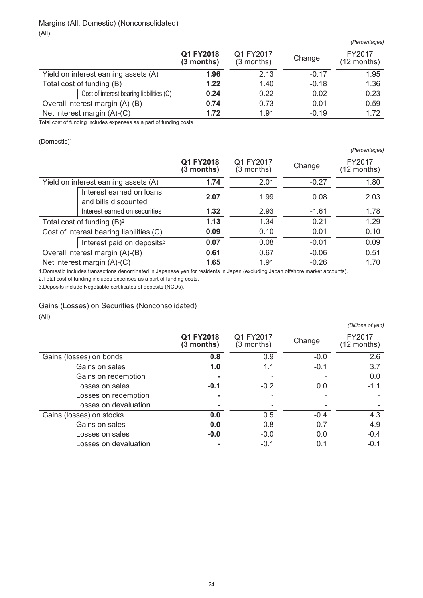## Margins (All, Domestic) (Nonconsolidated) (All)

|                                          |                           |                           |         | (Percentages)           |
|------------------------------------------|---------------------------|---------------------------|---------|-------------------------|
|                                          | Q1 FY2018<br>$(3$ months) | Q1 FY2017<br>$(3$ months) | Change  | FY2017<br>$(12$ months) |
| Yield on interest earning assets (A)     | 1.96                      | 2.13                      | $-0.17$ | 1.95                    |
| Total cost of funding (B)                | 1.22                      | 1.40                      | $-0.18$ | 1.36                    |
| Cost of interest bearing liabilities (C) | 0.24                      | 0.22                      | 0.02    | 0.23                    |
| Overall interest margin (A)-(B)          | 0.74                      | 0.73                      | 0.01    | 0.59                    |
| Net interest margin $(A)-(C)$            | 1.72                      | 1.91                      | $-0.19$ | 1.72                    |

Total cost of funding includes expenses as a part of funding costs

(Domestic)<sup>1</sup>

|                                                  |                         |                         |         | (Percentages)           |
|--------------------------------------------------|-------------------------|-------------------------|---------|-------------------------|
|                                                  | Q1 FY2018<br>(3 months) | Q1 FY2017<br>(3 months) | Change  | FY2017<br>$(12$ months) |
| Yield on interest earning assets (A)             | 1.74                    | 2.01                    | $-0.27$ | 1.80                    |
| Interest earned on loans<br>and bills discounted | 2.07                    | 1.99                    | 0.08    | 2.03                    |
| Interest earned on securities                    | 1.32                    | 2.93                    | $-1.61$ | 1.78                    |
| Total cost of funding $(B)^2$                    | 1.13                    | 1.34                    | $-0.21$ | 1.29                    |
| Cost of interest bearing liabilities (C)         | 0.09                    | 0.10                    | $-0.01$ | 0.10                    |
| Interest paid on deposits <sup>3</sup>           | 0.07                    | 0.08                    | $-0.01$ | 0.09                    |
| Overall interest margin (A)-(B)                  | 0.61                    | 0.67                    | $-0.06$ | 0.51                    |
| Net interest margin (A)-(C)                      | 1.65                    | 1.91                    | $-0.26$ | 1.70                    |

1.Domestic includes transactions denominated in Japanese yen for residents in Japan (excluding Japan offshore market accounts).

2.Total cost of funding includes expenses as a part of funding costs.

3.Deposits include Negotiable certificates of deposits (NCDs).

Gains (Losses) on Securities (Nonconsolidated)

(All)

|                          |                         |                           |        | (Billions of yen)       |
|--------------------------|-------------------------|---------------------------|--------|-------------------------|
|                          | Q1 FY2018<br>(3 months) | Q1 FY2017<br>$(3$ months) | Change | FY2017<br>$(12$ months) |
| Gains (losses) on bonds  | 0.8                     | 0.9                       | $-0.0$ | 2.6                     |
| Gains on sales           | 1.0                     | 1.1                       | $-0.1$ | 3.7                     |
| Gains on redemption      |                         |                           |        | 0.0                     |
| Losses on sales          | $-0.1$                  | $-0.2$                    | 0.0    | $-1.1$                  |
| Losses on redemption     |                         |                           |        |                         |
| Losses on devaluation    |                         |                           |        |                         |
| Gains (losses) on stocks | 0.0                     | 0.5                       | $-0.4$ | 4.3                     |
| Gains on sales           | 0.0                     | 0.8                       | $-0.7$ | 4.9                     |
| Losses on sales          | $-0.0$                  | $-0.0$                    | 0.0    | $-0.4$                  |
| Losses on devaluation    |                         | $-0.1$                    | 0.1    | $-0.1$                  |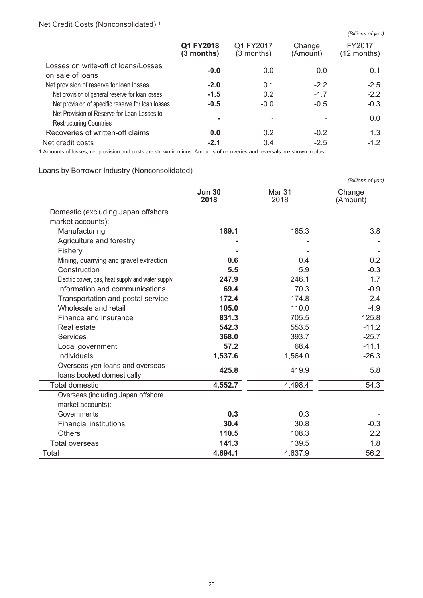# Net Credit Costs (Nonconsolidated) <sup>1</sup>

|                                                                               |                           |                           |                    | (Billions of yen)     |
|-------------------------------------------------------------------------------|---------------------------|---------------------------|--------------------|-----------------------|
|                                                                               | Q1 FY2018<br>$(3$ months) | Q1 FY2017<br>$(3$ months) | Change<br>(Amount) | FY2017<br>(12 months) |
| Losses on write-off of loans/Losses<br>on sale of loans                       | $-0.0$                    | $-0.0$                    | 0.0                | $-0.1$                |
| Net provision of reserve for loan losses                                      | $-2.0$                    | 0.1                       | $-2.2$             | $-2.5$                |
| Net provision of general reserve for loan losses                              | $-1.5$                    | 0.2                       | $-1.7$             | $-2.2$                |
| Net provision of specific reserve for loan losses                             | $-0.5$                    | $-0.0$                    | $-0.5$             | $-0.3$                |
| Net Provision of Reserve for Loan Losses to<br><b>Restructuring Countries</b> |                           |                           |                    | 0.0                   |
| Recoveries of written-off claims                                              | 0.0                       | 0.2                       | $-0.2$             | 1.3                   |
| Net credit costs                                                              | $-2.1$                    | 0.4                       | $-2.5$             | $-1.2$                |

1.Amounts of losses, net provision and costs are shown in minus. Amounts of recoveries and reversals are shown in plus.

# Loans by Borrower Industry (Nonconsolidated)

|                                                              |                       |                | (Billions of yen)  |
|--------------------------------------------------------------|-----------------------|----------------|--------------------|
|                                                              | <b>Jun 30</b><br>2018 | Mar 31<br>2018 | Change<br>(Amount) |
| Domestic (excluding Japan offshore                           |                       |                |                    |
| market accounts):                                            |                       |                |                    |
| Manufacturing                                                | 189.1                 | 185.3          | 3.8                |
| Agriculture and forestry                                     |                       |                |                    |
| Fishery                                                      |                       |                |                    |
| Mining, quarrying and gravel extraction                      | 0.6                   | 0.4            | 0.2                |
| Construction                                                 | 5.5                   | 5.9            | $-0.3$             |
| Electric power, gas, heat supply and water supply            | 247.9                 | 246.1          | 1.7                |
| Information and communications                               | 69.4                  | 70.3           | $-0.9$             |
| Transportation and postal service                            | 172.4                 | 174.8          | $-2.4$             |
| Wholesale and retail                                         | 105.0                 | 110.0          | $-4.9$             |
| Finance and insurance                                        | 831.3                 | 705.5          | 125.8              |
| Real estate                                                  | 542.3                 | 553.5          | $-11.2$            |
| <b>Services</b>                                              | 368.0                 | 393.7          | $-25.7$            |
| Local government                                             | 57.2                  | 68.4           | $-11.1$            |
| Individuals                                                  | 1,537.6               | 1,564.0        | $-26.3$            |
| Overseas yen loans and overseas<br>loans booked domestically | 425.8                 | 419.9          | 5.8                |
| <b>Total domestic</b>                                        | 4,552.7               | 4,498.4        | 54.3               |
| Overseas (including Japan offshore                           |                       |                |                    |
| market accounts):                                            |                       |                |                    |
| Governments                                                  | 0.3                   | 0.3            |                    |
| <b>Financial institutions</b>                                | 30.4                  | 30.8           | $-0.3$             |
| <b>Others</b>                                                | 110.5                 | 108.3          | 2.2                |
| <b>Total overseas</b>                                        | 141.3                 | 139.5          | 1.8                |
| Total                                                        | 4.694.1               | 4,637.9        | 56.2               |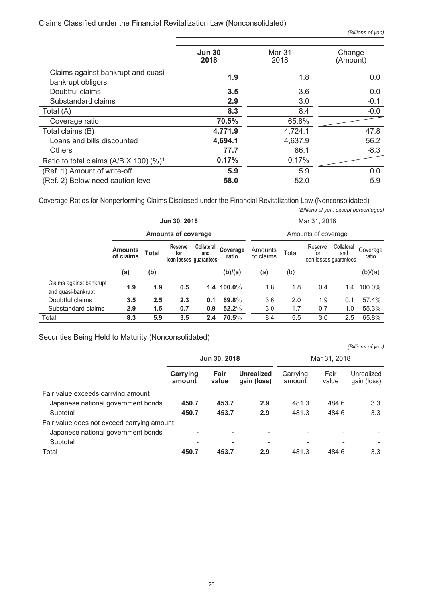## Claims Classified under the Financial Revitalization Law (Nonconsolidated)

*(Billions of yen, except percentages)*

|                                                         | <b>Jun 30</b><br>2018 | Mar 31<br>2018 | Change<br>(Amount) |  |
|---------------------------------------------------------|-----------------------|----------------|--------------------|--|
| Claims against bankrupt and quasi-<br>bankrupt obligors | 1.9                   | 1.8            | 0.0                |  |
| Doubtful claims                                         | 3.5                   | 3.6            | $-0.0$             |  |
| Substandard claims                                      | 2.9                   | 3.0            | $-0.1$             |  |
| Total (A)                                               | 8.3                   | 8.4            | $-0.0$             |  |
| Coverage ratio                                          | 70.5%                 | 65.8%          |                    |  |
| Total claims (B)                                        | 4,771.9               | 4,724.1        | 47.8               |  |
| Loans and bills discounted                              | 4,694.1               | 4,637.9        | 56.2               |  |
| <b>Others</b>                                           | 77.7                  | 86.1           | $-8.3$             |  |
| Ratio to total claims (A/B $X$ 100) (%) <sup>1</sup>    | 0.17%                 | 0.17%          |                    |  |
| (Ref. 1) Amount of write-off                            | 5.9                   | 5.9            | 0.0                |  |
| (Ref. 2) Below need caution level                       | 58.0                  | 52.0           | 5.9                |  |

Coverage Ratios for Nonperforming Claims Disclosed under the Financial Revitalization Law (Nonconsolidated)

|                                               |                             |                                            |                                                 |                          |                   |                      |       | (Billions of yen, except percentages)    |                   |                   |
|-----------------------------------------------|-----------------------------|--------------------------------------------|-------------------------------------------------|--------------------------|-------------------|----------------------|-------|------------------------------------------|-------------------|-------------------|
|                                               |                             | Jun 30, 2018<br><b>Amounts of coverage</b> |                                                 |                          |                   | Mar 31, 2018         |       |                                          |                   |                   |
|                                               |                             |                                            |                                                 |                          |                   | Amounts of coverage  |       |                                          |                   |                   |
|                                               | <b>Amounts</b><br>of claims | <b>Total</b>                               | <b>Reserve</b><br>for<br>loan losses quarantees | <b>Collateral</b><br>and | Coverage<br>ratio | Amounts<br>of claims | Total | Reserve<br>for<br>loan losses guarantees | Collateral<br>and | Coverage<br>ratio |
|                                               | (a)                         | (b)                                        |                                                 |                          | (b)/(a)           | (a)                  | (b)   |                                          |                   | (b)/(a)           |
| Claims against bankrupt<br>and quasi-bankrupt | 1.9                         | 1.9                                        | 0.5                                             |                          | 1.4 100.0%        | 1.8                  | 1.8   | 0.4                                      | 1.4               | 100.0%            |
| Doubtful claims                               | 3.5                         | 2.5                                        | 2.3                                             | 0.1                      | 69.8%             | 3.6                  | 2.0   | 1.9                                      | 0.1               | 57.4%             |
| Substandard claims                            | 2.9                         | 1.5                                        | 0.7                                             | 0.9                      | $52.2\%$          | 3.0                  | 1.7   | 0.7                                      | 1.0               | 55.3%             |
| Total                                         | 8.3                         | 5.9                                        | 3.5                                             | 2.4                      | $70.5\%$          | 8.4                  | 5.5   | 3.0                                      | 2.5               | 65.8%             |

Securities Being Held to Maturity (Nonconsolidated)

|                                            |                    |               |                                  |                    |               | (Billions of yen)         |  |
|--------------------------------------------|--------------------|---------------|----------------------------------|--------------------|---------------|---------------------------|--|
|                                            |                    | Jun 30, 2018  |                                  | Mar 31, 2018       |               |                           |  |
|                                            | Carrying<br>amount | Fair<br>value | <b>Unrealized</b><br>gain (loss) | Carrying<br>amount | Fair<br>value | Unrealized<br>gain (loss) |  |
| Fair value exceeds carrying amount         |                    |               |                                  |                    |               |                           |  |
| Japanese national government bonds         | 450.7              | 453.7         | 2.9                              | 481.3              | 484.6         | 3.3                       |  |
| Subtotal                                   | 450.7              | 453.7         | 2.9                              | 481.3              | 484.6         | 3.3                       |  |
| Fair value does not exceed carrying amount |                    |               |                                  |                    |               |                           |  |
| Japanese national government bonds         |                    |               | $\overline{a}$                   |                    |               |                           |  |
| Subtotal                                   |                    |               |                                  |                    |               |                           |  |
| Total                                      | 450.7              | 453.7         | 2.9                              | 481.3              | 484.6         | 3.3                       |  |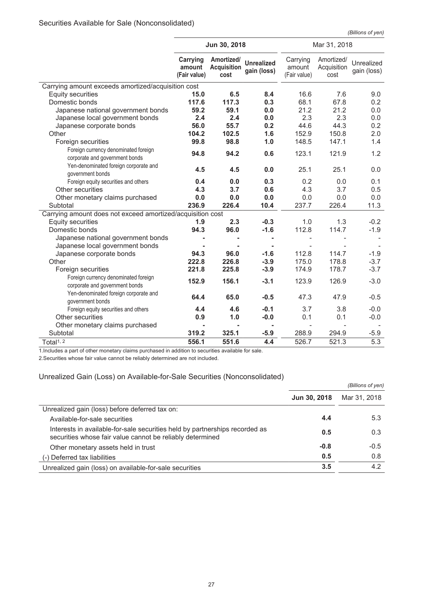*(Billions of yen)*

|                                                                        |                                    | Jun 30, 2018                             |                                  |                                    | Mar 31, 2018                      |                           |
|------------------------------------------------------------------------|------------------------------------|------------------------------------------|----------------------------------|------------------------------------|-----------------------------------|---------------------------|
|                                                                        | Carrying<br>amount<br>(Fair value) | Amortized/<br><b>Acquisition</b><br>cost | <b>Unrealized</b><br>gain (loss) | Carrying<br>amount<br>(Fair value) | Amortized/<br>Acquisition<br>cost | Unrealized<br>gain (loss) |
| Carrying amount exceeds amortized/acquisition cost                     |                                    |                                          |                                  |                                    |                                   |                           |
| <b>Equity securities</b>                                               | 15.0                               | 6.5                                      | 8.4                              | 16.6                               | 7.6                               | 9.0                       |
| Domestic bonds                                                         | 117.6                              | 117.3                                    | 0.3                              | 68.1                               | 67.8                              | 0.2                       |
| Japanese national government bonds                                     | 59.2                               | 59.1                                     | 0.0                              | 21.2                               | 21.2                              | 0.0                       |
| Japanese local government bonds                                        | 2.4                                | 2.4                                      | 0.0                              | 2.3                                | 2.3                               | 0.0                       |
| Japanese corporate bonds                                               | 56.0                               | 55.7                                     | 0.2                              | 44.6                               | 44.3                              | 0.2                       |
| Other                                                                  | 104.2                              | 102.5                                    | 1.6                              | 152.9                              | 150.8                             | 2.0                       |
| Foreign securities                                                     | 99.8                               | 98.8                                     | 1.0                              | 148.5                              | 147.1                             | 1.4                       |
| Foreign currency denominated foreign<br>corporate and government bonds | 94.8                               | 94.2                                     | 0.6                              | 123.1                              | 121.9                             | 1.2                       |
| Yen-denominated foreign corporate and<br>government bonds              | 4.5                                | 4.5                                      | 0.0                              | 25.1                               | 25.1                              | 0.0                       |
| Foreign equity securities and others                                   | 0.4                                | 0.0                                      | 0.3                              | 0.2                                | 0.0                               | 0.1                       |
| Other securities                                                       | 4.3                                | 3.7                                      | 0.6                              | 4.3                                | 3.7                               | 0.5                       |
| Other monetary claims purchased                                        | 0.0                                | 0.0                                      | 0.0                              | 0.0                                | 0.0                               | 0.0                       |
| Subtotal                                                               | 236.9                              | 226.4                                    | 10.4                             | 237.7                              | 226.4                             | 11.3                      |
| Carrying amount does not exceed amortized/acquisition cost             |                                    |                                          |                                  |                                    |                                   |                           |
| <b>Equity securities</b>                                               | 1.9                                | 2.3                                      | $-0.3$                           | 1.0                                | 1.3                               | $-0.2$                    |
| Domestic bonds                                                         | 94.3                               | 96.0                                     | $-1.6$                           | 112.8                              | 114.7                             | $-1.9$                    |
| Japanese national government bonds                                     |                                    |                                          | ۰                                |                                    |                                   |                           |
| Japanese local government bonds                                        |                                    |                                          |                                  |                                    |                                   |                           |
| Japanese corporate bonds                                               | 94.3                               | 96.0                                     | $-1.6$                           | 112.8                              | 114.7                             | $-1.9$                    |
| Other                                                                  | 222.8                              | 226.8                                    | $-3.9$                           | 175.0                              | 178.8                             | $-3.7$                    |
| Foreign securities                                                     | 221.8                              | 225.8                                    | $-3.9$                           | 174.9                              | 178.7                             | $-3.7$                    |
| Foreign currency denominated foreign<br>corporate and government bonds | 152.9                              | 156.1                                    | $-3.1$                           | 123.9                              | 126.9                             | $-3.0$                    |
| Yen-denominated foreign corporate and<br>government bonds              | 64.4                               | 65.0                                     | $-0.5$                           | 47.3                               | 47.9                              | $-0.5$                    |
| Foreign equity securities and others                                   | 4.4                                | 4.6                                      | $-0.1$                           | 3.7                                | 3.8                               | $-0.0$                    |
| Other securities                                                       | 0.9                                | 1.0                                      | $-0.0$                           | 0.1                                | 0.1                               | $-0.0$                    |
| Other monetary claims purchased                                        | $\blacksquare$                     | ۰                                        | $\blacksquare$                   |                                    |                                   |                           |
| Subtotal                                                               | 319.2                              | 325.1                                    | $-5.9$                           | 288.9                              | 294.9                             | $-5.9$                    |
| Total <sup>1, 2</sup>                                                  | 556.1                              | 551.6                                    | 4.4                              | 526.7                              | 521.3                             | 5.3                       |

1.Includes a part of other monetary claims purchased in addition to securities available for sale.

2.Securities whose fair value cannot be reliably determined are not included.

## Unrealized Gain (Loss) on Available-for-Sale Securities (Nonconsolidated)

|                                                                                                                                          | (Billions of yen)   |              |  |
|------------------------------------------------------------------------------------------------------------------------------------------|---------------------|--------------|--|
|                                                                                                                                          | <b>Jun 30, 2018</b> | Mar 31, 2018 |  |
| Unrealized gain (loss) before deferred tax on:                                                                                           |                     |              |  |
| Available-for-sale securities                                                                                                            | 4.4                 | 5.3          |  |
| Interests in available-for-sale securities held by partnerships recorded as<br>securities whose fair value cannot be reliably determined | 0.5                 | 0.3          |  |
| Other monetary assets held in trust                                                                                                      | $-0.8$              | $-0.5$       |  |
| (-) Deferred tax liabilities                                                                                                             | 0.5                 | 0.8          |  |
| Unrealized gain (loss) on available-for-sale securities                                                                                  | 3.5                 | 4.2          |  |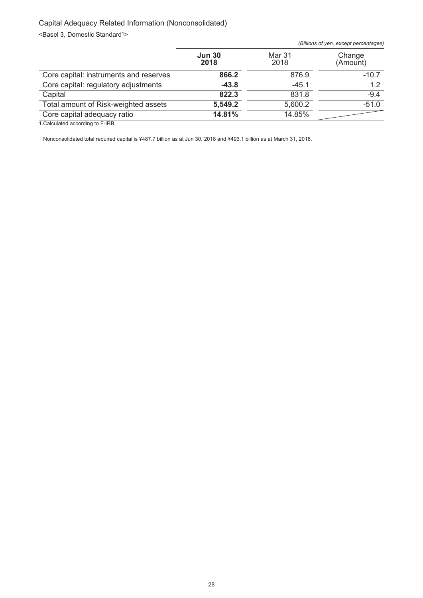# Capital Adequacy Related Information (Nonconsolidated)

<Basel 3, Domestic Standard<sup>1></sup>

|                                        |                       |                | (Billions of yen, except percentages) |
|----------------------------------------|-----------------------|----------------|---------------------------------------|
|                                        | <b>Jun 30</b><br>2018 | Mar 31<br>2018 | Change<br>(Amount)                    |
| Core capital: instruments and reserves | 866.2                 | 876.9          | $-10.7$                               |
| Core capital: regulatory adjustments   | $-43.8$               | $-45.1$        | 1.2                                   |
| Capital                                | 822.3                 | 831.8          | $-9.4$                                |
| Total amount of Risk-weighted assets   | 5,549.2               | 5,600.2        | $-51.0$                               |
| Core capital adequacy ratio            | 14.81%                | 14.85%         |                                       |
|                                        |                       |                |                                       |

1.Calculated according to F-IRB.

Nonconsolidated total required capital is ¥487.7 billion as at Jun 30, 2018 and ¥493.1 billion as at March 31, 2018.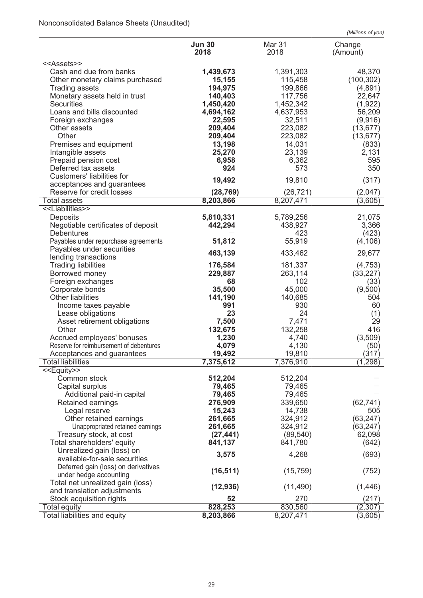# Nonconsolidated Balance Sheets (Unaudited)

| (Millions of yen) |  |
|-------------------|--|
|                   |  |

|                                         | <b>Jun 30</b><br>2018 | Mar 31<br>2018 | Change<br>(Amount) |
|-----------------------------------------|-----------------------|----------------|--------------------|
| < <assets>&gt;</assets>                 |                       |                |                    |
| Cash and due from banks                 | 1,439,673             | 1,391,303      | 48,370             |
| Other monetary claims purchased         | 15,155                | 115,458        | (100, 302)         |
| <b>Trading assets</b>                   | 194,975               | 199,866        | (4,891)            |
| Monetary assets held in trust           | 140,403               | 117,756        | 22,647             |
| <b>Securities</b>                       | 1,450,420             | 1,452,342      | (1,922)            |
| Loans and bills discounted              | 4,694,162             | 4,637,953      | 56,209             |
| Foreign exchanges                       | 22,595                | 32,511         | (9,916)            |
| Other assets                            | 209,404               | 223,082        | (13, 677)          |
| Other                                   | 209,404               | 223,082        | (13, 677)          |
| Premises and equipment                  | 13,198                | 14,031         | (833)              |
| Intangible assets                       | 25,270                | 23,139         | 2,131              |
| Prepaid pension cost                    | 6,958                 | 6,362          | 595                |
| Deferred tax assets                     | 924                   | 573            | 350                |
| Customers' liabilities for              |                       |                |                    |
| acceptances and guarantees              | 19,492                | 19,810         | (317)              |
| Reserve for credit losses               | (28, 769)             | (26, 721)      | (2,047)            |
| <b>Total assets</b>                     | 8,203,866             | 8,207,471      | (3,605)            |
| < <liabilities>&gt;</liabilities>       |                       |                |                    |
| Deposits                                | 5,810,331             | 5,789,256      | 21,075             |
| Negotiable certificates of deposit      | 442,294               | 438,927        | 3,366              |
| <b>Debentures</b>                       |                       | 423            | (423)              |
| Payables under repurchase agreements    | 51,812                | 55,919         | (4, 106)           |
| Payables under securities               |                       |                |                    |
| lending transactions                    | 463,139               | 433,462        | 29,677             |
| <b>Trading liabilities</b>              | 176,584               | 181,337        | (4, 753)           |
| Borrowed money                          | 229,887               | 263,114        | (33, 227)          |
| Foreign exchanges                       | 68                    | 102            | (33)               |
| Corporate bonds                         | 35,500                | 45,000         | (9,500)            |
| <b>Other liabilities</b>                | 141,190               | 140,685        | 504                |
| Income taxes payable                    | 991                   | 930            | 60                 |
| Lease obligations                       | 23                    | 24             | (1)                |
| Asset retirement obligations            | 7,500                 | 7,471          | 29                 |
| Other                                   | 132,675               | 132,258        | 416                |
| Accrued employees' bonuses              | 1,230                 | 4,740          | (3, 509)           |
| Reserve for reimbursement of debentures | 4,079                 | 4,130          | (50)               |
| Acceptances and guarantees              | 19,492                | 19,810         | (317)              |
| Total liabilities                       | 7,375,612             | 7,376,910      | (1, 298)           |
| $\overline{\leq}$ Equity>>              |                       |                |                    |
| Common stock                            | 512,204               | 512,204        |                    |
| Capital surplus                         | 79,465                | 79,465         |                    |
| Additional paid-in capital              | 79,465                | 79,465         |                    |
| Retained earnings                       | 276,909               | 339,650        | (62, 741)          |
| Legal reserve                           | 15,243                | 14,738         | 505                |
| Other retained earnings                 | 261,665               | 324,912        | (63, 247)          |
| Unappropriated retained earnings        | 261,665               | 324,912        | (63, 247)          |
| Treasury stock, at cost                 | (27, 441)             | (89, 540)      | 62,098             |
| Total shareholders' equity              | 841,137               | 841,780        | (642)              |
| Unrealized gain (loss) on               |                       | 4,268          |                    |
| available-for-sale securities           | 3,575                 |                | (693)              |
| Deferred gain (loss) on derivatives     |                       |                |                    |
| under hedge accounting                  | (16, 511)             | (15, 759)      | (752)              |
| Total net unrealized gain (loss)        | (12, 936)             | (11, 490)      | (1, 446)           |
| and translation adjustments             |                       |                |                    |
| Stock acquisition rights                | 52                    | 270            | (217)              |
| <b>Total equity</b>                     | 828,253               | 830,560        | (2,307)            |
| Total liabilities and equity            | 8,203,866             | 8,207,471      | (3,605)            |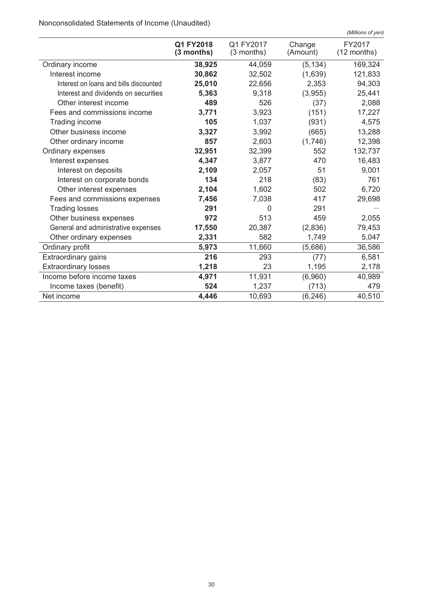Nonconsolidated Statements of Income (Unaudited)

|                                        |                           |                           |                    | (Millions of yen)     |
|----------------------------------------|---------------------------|---------------------------|--------------------|-----------------------|
|                                        | Q1 FY2018<br>$(3$ months) | Q1 FY2017<br>$(3$ months) | Change<br>(Amount) | FY2017<br>(12 months) |
| Ordinary income                        | 38,925                    | 44,059                    | (5, 134)           | 169,324               |
| Interest income                        | 30,862                    | 32,502                    | (1,639)            | 121,833               |
| Interest on loans and bills discounted | 25,010                    | 22,656                    | 2,353              | 94,303                |
| Interest and dividends on securities   | 5,363                     | 9,318                     | (3,955)            | 25,441                |
| Other interest income                  | 489                       | 526                       | (37)               | 2,088                 |
| Fees and commissions income            | 3,771                     | 3,923                     | (151)              | 17,227                |
| Trading income                         | 105                       | 1,037                     | (931)              | 4,575                 |
| Other business income                  | 3,327                     | 3,992                     | (665)              | 13,288                |
| Other ordinary income                  | 857                       | 2,603                     | (1,746)            | 12,398                |
| Ordinary expenses                      | 32,951                    | 32,399                    | 552                | 132,737               |
| Interest expenses                      | 4,347                     | 3,877                     | 470                | 16,483                |
| Interest on deposits                   | 2,109                     | 2,057                     | 51                 | 9,001                 |
| Interest on corporate bonds            | 134                       | 218                       | (83)               | 761                   |
| Other interest expenses                | 2,104                     | 1,602                     | 502                | 6,720                 |
| Fees and commissions expenses          | 7,456                     | 7,038                     | 417                | 29,698                |
| <b>Trading losses</b>                  | 291                       | $\Omega$                  | 291                |                       |
| Other business expenses                | 972                       | 513                       | 459                | 2,055                 |
| General and administrative expenses    | 17,550                    | 20,387                    | (2,836)            | 79,453                |
| Other ordinary expenses                | 2,331                     | 582                       | 1,749              | 5,047                 |
| Ordinary profit                        | 5,973                     | 11,660                    | (5,686)            | 36,586                |
| Extraordinary gains                    | 216                       | 293                       | (77)               | 6,581                 |
| <b>Extraordinary losses</b>            | 1,218                     | 23                        | 1,195              | 2,178                 |
| Income before income taxes             | 4,971                     | 11,931                    | (6,960)            | 40,989                |
| Income taxes (benefit)                 | 524                       | 1,237                     | (713)              | 479                   |
| Net income                             | 4,446                     | 10,693                    | (6, 246)           | 40,510                |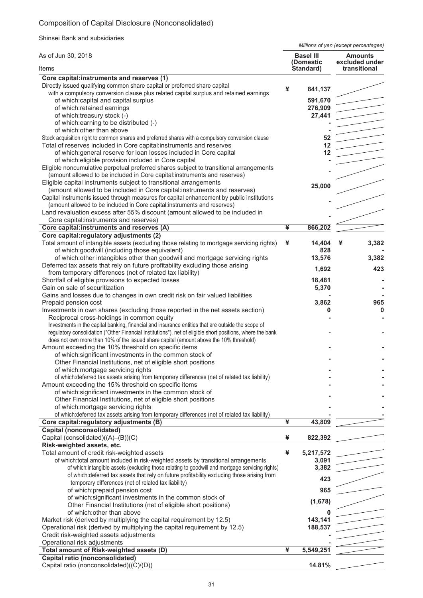# Composition of Capital Disclosure (Nonconsolidated)

Shinsei Bank and subsidiaries

*Millions of yen (except percentages)*

| As of Jun 30, 2018                                                                                                                                                                                                                                                                                                                                                                                                                                                                                                                                                                                                                                                                                                                                                                                                                                                                                                                                                                                                                                                                                                              |   | <b>Basel III</b><br>(Domestic                                       | <b>Amounts</b><br>excluded under |
|---------------------------------------------------------------------------------------------------------------------------------------------------------------------------------------------------------------------------------------------------------------------------------------------------------------------------------------------------------------------------------------------------------------------------------------------------------------------------------------------------------------------------------------------------------------------------------------------------------------------------------------------------------------------------------------------------------------------------------------------------------------------------------------------------------------------------------------------------------------------------------------------------------------------------------------------------------------------------------------------------------------------------------------------------------------------------------------------------------------------------------|---|---------------------------------------------------------------------|----------------------------------|
| Items                                                                                                                                                                                                                                                                                                                                                                                                                                                                                                                                                                                                                                                                                                                                                                                                                                                                                                                                                                                                                                                                                                                           |   | Standard)                                                           | transitional                     |
| Core capital:instruments and reserves (1)<br>Directly issued qualifying common share capital or preferred share capital<br>with a compulsory conversion clause plus related capital surplus and retained earnings<br>of which:capital and capital surplus<br>of which:retained earnings<br>of which:treasury stock (-)<br>of which: earning to be distributed (-)<br>of which: other than above<br>Stock acquisition right to common shares and preferred shares with a compulsory conversion clause<br>Total of reserves included in Core capital:instruments and reserves<br>of which: general reserve for loan losses included in Core capital<br>of which: eligible provision included in Core capital<br>Eligible noncumulative perpetual preferred shares subject to transitional arrangements<br>(amount allowed to be included in Core capital:instruments and reserves)<br>Eligible capital instruments subject to transitional arrangements<br>(amount allowed to be included in Core capital:instruments and reserves)<br>Capital instruments issued through measures for capital enhancement by public institutions | ¥ | 841,137<br>591,670<br>276,909<br>27,441<br>52<br>12<br>12<br>25,000 |                                  |
| (amount allowed to be included in Core capital:instruments and reserves)<br>Land revaluation excess after 55% discount (amount allowed to be included in                                                                                                                                                                                                                                                                                                                                                                                                                                                                                                                                                                                                                                                                                                                                                                                                                                                                                                                                                                        |   |                                                                     |                                  |
| Core capital:instruments and reserves)                                                                                                                                                                                                                                                                                                                                                                                                                                                                                                                                                                                                                                                                                                                                                                                                                                                                                                                                                                                                                                                                                          | ¥ | 866,202                                                             |                                  |
| Core capital:instruments and reserves (A)<br>Core capital: regulatory adjustments (2)                                                                                                                                                                                                                                                                                                                                                                                                                                                                                                                                                                                                                                                                                                                                                                                                                                                                                                                                                                                                                                           |   |                                                                     |                                  |
| Total amount of intangible assets (excluding those relating to mortgage servicing rights)<br>of which:goodwill (including those equivalent)                                                                                                                                                                                                                                                                                                                                                                                                                                                                                                                                                                                                                                                                                                                                                                                                                                                                                                                                                                                     | ¥ | 14,404<br>828                                                       | 3,382<br>¥                       |
| of which: other intangibles other than goodwill and mortgage servicing rights<br>Deferred tax assets that rely on future profitability excluding those arising                                                                                                                                                                                                                                                                                                                                                                                                                                                                                                                                                                                                                                                                                                                                                                                                                                                                                                                                                                  |   | 13,576<br>1,692                                                     | 3,382<br>423                     |
| from temporary differences (net of related tax liability)                                                                                                                                                                                                                                                                                                                                                                                                                                                                                                                                                                                                                                                                                                                                                                                                                                                                                                                                                                                                                                                                       |   |                                                                     |                                  |
| Shortfall of eligible provisions to expected losses<br>Gain on sale of securitization                                                                                                                                                                                                                                                                                                                                                                                                                                                                                                                                                                                                                                                                                                                                                                                                                                                                                                                                                                                                                                           |   | 18,481<br>5,370                                                     |                                  |
| Gains and losses due to changes in own credit risk on fair valued liabilities<br>Prepaid pension cost<br>Investments in own shares (excluding those reported in the net assets section)                                                                                                                                                                                                                                                                                                                                                                                                                                                                                                                                                                                                                                                                                                                                                                                                                                                                                                                                         |   | 3,862<br>0                                                          | 965<br>$\mathbf 0$               |
| Reciprocal cross-holdings in common equity<br>Investments in the capital banking, financial and insurance entities that are outside the scope of<br>regulatory consolidation ("Other Financial Institutions"), net of eligible short positions, where the bank<br>does not own more than 10% of the issued share capital (amount above the 10% threshold)                                                                                                                                                                                                                                                                                                                                                                                                                                                                                                                                                                                                                                                                                                                                                                       |   |                                                                     |                                  |
| Amount exceeding the 10% threshold on specific items                                                                                                                                                                                                                                                                                                                                                                                                                                                                                                                                                                                                                                                                                                                                                                                                                                                                                                                                                                                                                                                                            |   |                                                                     |                                  |
| of which:significant investments in the common stock of                                                                                                                                                                                                                                                                                                                                                                                                                                                                                                                                                                                                                                                                                                                                                                                                                                                                                                                                                                                                                                                                         |   |                                                                     |                                  |
| Other Financial Institutions, net of eligible short positions<br>of which: mortgage servicing rights                                                                                                                                                                                                                                                                                                                                                                                                                                                                                                                                                                                                                                                                                                                                                                                                                                                                                                                                                                                                                            |   |                                                                     |                                  |
| of which: deferred tax assets arising from temporary differences (net of related tax liability)                                                                                                                                                                                                                                                                                                                                                                                                                                                                                                                                                                                                                                                                                                                                                                                                                                                                                                                                                                                                                                 |   |                                                                     |                                  |
| Amount exceeding the 15% threshold on specific items<br>of which: significant investments in the common stock of                                                                                                                                                                                                                                                                                                                                                                                                                                                                                                                                                                                                                                                                                                                                                                                                                                                                                                                                                                                                                |   |                                                                     |                                  |
| Other Financial Institutions, net of eligible short positions                                                                                                                                                                                                                                                                                                                                                                                                                                                                                                                                                                                                                                                                                                                                                                                                                                                                                                                                                                                                                                                                   |   |                                                                     |                                  |
| of which: mortgage servicing rights                                                                                                                                                                                                                                                                                                                                                                                                                                                                                                                                                                                                                                                                                                                                                                                                                                                                                                                                                                                                                                                                                             |   |                                                                     |                                  |
| of which: deferred tax assets arising from temporary differences (net of related tax liability)<br>Core capital: regulatory adjustments (B)                                                                                                                                                                                                                                                                                                                                                                                                                                                                                                                                                                                                                                                                                                                                                                                                                                                                                                                                                                                     | ¥ | 43,809                                                              |                                  |
| <b>Capital (nonconsolidated)</b>                                                                                                                                                                                                                                                                                                                                                                                                                                                                                                                                                                                                                                                                                                                                                                                                                                                                                                                                                                                                                                                                                                |   |                                                                     |                                  |
| Capital (consolidated)((A)-(B))(C)                                                                                                                                                                                                                                                                                                                                                                                                                                                                                                                                                                                                                                                                                                                                                                                                                                                                                                                                                                                                                                                                                              | ¥ | 822,392                                                             |                                  |
| Risk-weighted assets, etc.<br>Total amount of credit risk-weighted assets                                                                                                                                                                                                                                                                                                                                                                                                                                                                                                                                                                                                                                                                                                                                                                                                                                                                                                                                                                                                                                                       | ¥ | 5,217,572                                                           |                                  |
| of which:total amount included in risk-weighted assets by transitional arrangements                                                                                                                                                                                                                                                                                                                                                                                                                                                                                                                                                                                                                                                                                                                                                                                                                                                                                                                                                                                                                                             |   | 3,091                                                               |                                  |
| of which:intangible assets (excluding those relating to goodwill and mortgage servicing rights)                                                                                                                                                                                                                                                                                                                                                                                                                                                                                                                                                                                                                                                                                                                                                                                                                                                                                                                                                                                                                                 |   | 3,382                                                               |                                  |
| of which: deferred tax assets that rely on future profitability excluding those arising from<br>temporary differences (net of related tax liability)                                                                                                                                                                                                                                                                                                                                                                                                                                                                                                                                                                                                                                                                                                                                                                                                                                                                                                                                                                            |   | 423                                                                 |                                  |
| of which: prepaid pension cost                                                                                                                                                                                                                                                                                                                                                                                                                                                                                                                                                                                                                                                                                                                                                                                                                                                                                                                                                                                                                                                                                                  |   | 965                                                                 |                                  |
| of which: significant investments in the common stock of<br>Other Financial Institutions (net of eligible short positions)                                                                                                                                                                                                                                                                                                                                                                                                                                                                                                                                                                                                                                                                                                                                                                                                                                                                                                                                                                                                      |   | (1,678)                                                             |                                  |
| of which: other than above                                                                                                                                                                                                                                                                                                                                                                                                                                                                                                                                                                                                                                                                                                                                                                                                                                                                                                                                                                                                                                                                                                      |   |                                                                     |                                  |
| Market risk (derived by multiplying the capital requirement by 12.5)<br>Operational risk (derived by multiplying the capital requirement by 12.5)                                                                                                                                                                                                                                                                                                                                                                                                                                                                                                                                                                                                                                                                                                                                                                                                                                                                                                                                                                               |   | 143,141<br>188,537                                                  |                                  |
| Credit risk-weighted assets adjustments                                                                                                                                                                                                                                                                                                                                                                                                                                                                                                                                                                                                                                                                                                                                                                                                                                                                                                                                                                                                                                                                                         |   |                                                                     |                                  |
| Operational risk adjustments                                                                                                                                                                                                                                                                                                                                                                                                                                                                                                                                                                                                                                                                                                                                                                                                                                                                                                                                                                                                                                                                                                    |   |                                                                     |                                  |
| Total amount of Risk-weighted assets (D)<br>Capital ratio (nonconsolidated)                                                                                                                                                                                                                                                                                                                                                                                                                                                                                                                                                                                                                                                                                                                                                                                                                                                                                                                                                                                                                                                     | ¥ | 5,549,251                                                           |                                  |
| Capital ratio (nonconsolidated)((C)/(D))                                                                                                                                                                                                                                                                                                                                                                                                                                                                                                                                                                                                                                                                                                                                                                                                                                                                                                                                                                                                                                                                                        |   | 14.81%                                                              |                                  |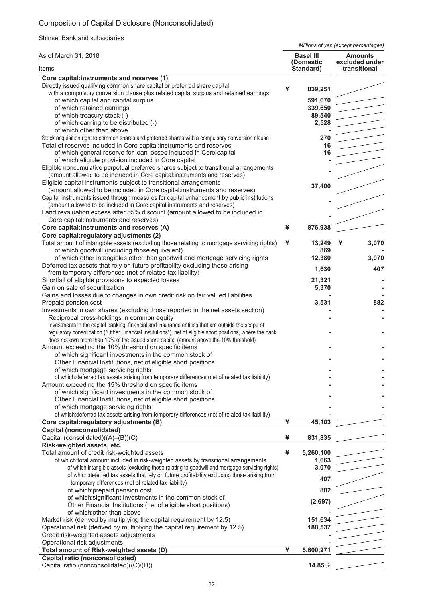# Composition of Capital Disclosure (Nonconsolidated)

Shinsei Bank and subsidiaries

*Millions of yen (except percentages)*

| As of March 31, 2018                                                                                                                                                                                              |   | <b>Basel III</b><br>(Domestic | <b>Amounts</b><br>excluded under |
|-------------------------------------------------------------------------------------------------------------------------------------------------------------------------------------------------------------------|---|-------------------------------|----------------------------------|
| Items                                                                                                                                                                                                             |   | Standard)                     | transitional                     |
| Core capital:instruments and reserves (1)<br>Directly issued qualifying common share capital or preferred share capital<br>with a compulsory conversion clause plus related capital surplus and retained earnings | ¥ | 839,251                       |                                  |
| of which:capital and capital surplus                                                                                                                                                                              |   | 591,670                       |                                  |
| of which:retained earnings                                                                                                                                                                                        |   | 339,650                       |                                  |
| of which:treasury stock (-)                                                                                                                                                                                       |   | 89,540                        |                                  |
| of which: earning to be distributed (-)                                                                                                                                                                           |   | 2,528                         |                                  |
| of which: other than above                                                                                                                                                                                        |   |                               |                                  |
| Stock acquisition right to common shares and preferred shares with a compulsory conversion clause                                                                                                                 |   | 270                           |                                  |
| Total of reserves included in Core capital:instruments and reserves                                                                                                                                               |   | 16                            |                                  |
| of which: general reserve for loan losses included in Core capital                                                                                                                                                |   | 16                            |                                  |
| of which: eligible provision included in Core capital                                                                                                                                                             |   |                               |                                  |
| Eligible noncumulative perpetual preferred shares subject to transitional arrangements                                                                                                                            |   |                               |                                  |
| (amount allowed to be included in Core capital:instruments and reserves)                                                                                                                                          |   |                               |                                  |
| Eligible capital instruments subject to transitional arrangements                                                                                                                                                 |   | 37,400                        |                                  |
| (amount allowed to be included in Core capital:instruments and reserves)                                                                                                                                          |   |                               |                                  |
| Capital instruments issued through measures for capital enhancement by public institutions                                                                                                                        |   |                               |                                  |
| (amount allowed to be included in Core capital:instruments and reserves)                                                                                                                                          |   |                               |                                  |
| Land revaluation excess after 55% discount (amount allowed to be included in                                                                                                                                      |   |                               |                                  |
| Core capital:instruments and reserves)                                                                                                                                                                            |   |                               |                                  |
| Core capital:instruments and reserves (A)<br>Core capital: regulatory adjustments (2)                                                                                                                             | ¥ | 876,938                       |                                  |
| Total amount of intangible assets (excluding those relating to mortgage servicing rights)<br>of which:goodwill (including those equivalent)                                                                       | ¥ | 13,249<br>869                 | 3,070<br>¥                       |
| of which: other intangibles other than goodwill and mortgage servicing rights<br>Deferred tax assets that rely on future profitability excluding those arising                                                    |   | 12,380                        | 3,070                            |
| from temporary differences (net of related tax liability)                                                                                                                                                         |   | 1,630                         | 407                              |
| Shortfall of eligible provisions to expected losses                                                                                                                                                               |   | 21,321                        |                                  |
| Gain on sale of securitization                                                                                                                                                                                    |   | 5,370                         |                                  |
| Gains and losses due to changes in own credit risk on fair valued liabilities                                                                                                                                     |   |                               |                                  |
| Prepaid pension cost                                                                                                                                                                                              |   | 3,531                         | 882                              |
| Investments in own shares (excluding those reported in the net assets section)                                                                                                                                    |   |                               |                                  |
| Reciprocal cross-holdings in common equity                                                                                                                                                                        |   |                               |                                  |
| Investments in the capital banking, financial and insurance entities that are outside the scope of                                                                                                                |   |                               |                                  |
| regulatory consolidation ("Other Financial Institutions"), net of eligible short positions, where the bank                                                                                                        |   |                               |                                  |
| does not own more than 10% of the issued share capital (amount above the 10% threshold)                                                                                                                           |   |                               |                                  |
| Amount exceeding the 10% threshold on specific items                                                                                                                                                              |   |                               |                                  |
| of which:significant investments in the common stock of                                                                                                                                                           |   |                               |                                  |
| Other Financial Institutions, net of eligible short positions                                                                                                                                                     |   |                               |                                  |
| of which: mortgage servicing rights                                                                                                                                                                               |   |                               |                                  |
| of which: deferred tax assets arising from temporary differences (net of related tax liability)                                                                                                                   |   |                               |                                  |
| Amount exceeding the 15% threshold on specific items                                                                                                                                                              |   |                               |                                  |
| of which: significant investments in the common stock of                                                                                                                                                          |   |                               |                                  |
| Other Financial Institutions, net of eligible short positions                                                                                                                                                     |   |                               |                                  |
| of which: mortgage servicing rights<br>of which: deferred tax assets arising from temporary differences (net of related tax liability)                                                                            |   |                               |                                  |
|                                                                                                                                                                                                                   | ¥ |                               |                                  |
| Core capital: regulatory adjustments (B)<br><b>Capital (nonconsolidated)</b>                                                                                                                                      |   | 45,103                        |                                  |
| Capital (consolidated)((A)-(B))(C)                                                                                                                                                                                | ¥ | 831,835                       |                                  |
| Risk-weighted assets, etc.                                                                                                                                                                                        |   |                               |                                  |
| Total amount of credit risk-weighted assets                                                                                                                                                                       | ¥ | 5,260,100                     |                                  |
| of which:total amount included in risk-weighted assets by transitional arrangements                                                                                                                               |   | 1,663                         |                                  |
| of which:intangible assets (excluding those relating to goodwill and mortgage servicing rights)                                                                                                                   |   | 3,070                         |                                  |
| of which: deferred tax assets that rely on future profitability excluding those arising from                                                                                                                      |   |                               |                                  |
| temporary differences (net of related tax liability)                                                                                                                                                              |   | 407                           |                                  |
| of which: prepaid pension cost                                                                                                                                                                                    |   | 882                           |                                  |
| of which: significant investments in the common stock of                                                                                                                                                          |   |                               |                                  |
| Other Financial Institutions (net of eligible short positions)                                                                                                                                                    |   | (2,697)                       |                                  |
| of which: other than above                                                                                                                                                                                        |   |                               |                                  |
| Market risk (derived by multiplying the capital requirement by 12.5)                                                                                                                                              |   | 151,634                       |                                  |
| Operational risk (derived by multiplying the capital requirement by 12.5)                                                                                                                                         |   | 188,537                       |                                  |
| Credit risk-weighted assets adjustments                                                                                                                                                                           |   |                               |                                  |
| Operational risk adjustments                                                                                                                                                                                      |   |                               |                                  |
| Total amount of Risk-weighted assets (D)                                                                                                                                                                          | ¥ | 5,600,271                     |                                  |
| Capital ratio (nonconsolidated)                                                                                                                                                                                   |   |                               |                                  |
| Capital ratio (nonconsolidated)((C)/(D))                                                                                                                                                                          |   | 14.85%                        |                                  |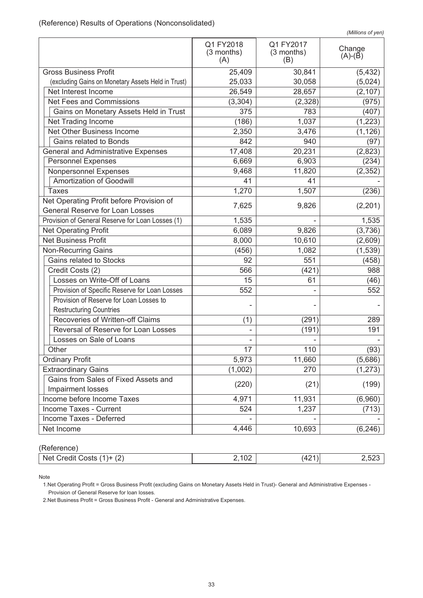| (Millions of yen) |  |
|-------------------|--|

|                                                                                    |                                |                                | (                   |
|------------------------------------------------------------------------------------|--------------------------------|--------------------------------|---------------------|
|                                                                                    | Q1 FY2018<br>(3 months)<br>(A) | Q1 FY2017<br>(3 months)<br>(B) | Change<br>$(A)-(B)$ |
| <b>Gross Business Profit</b>                                                       | 25,409                         | 30,841                         | (5, 432)            |
| (excluding Gains on Monetary Assets Held in Trust)                                 | 25,033                         | 30,058                         | (5,024)             |
| Net Interest Income                                                                | 26,549                         | 28,657                         | (2, 107)            |
| Net Fees and Commissions                                                           | (3, 304)                       | (2,328)                        | (975)               |
| Gains on Monetary Assets Held in Trust                                             | 375                            | 783                            | (407)               |
| Net Trading Income                                                                 | (186)                          | 1,037                          | (1, 223)            |
| Net Other Business Income                                                          | 2,350                          | 3,476                          | (1, 126)            |
| Gains related to Bonds                                                             | 842                            | 940                            | (97)                |
| <b>General and Administrative Expenses</b>                                         | 17,408                         | 20,231                         | (2,823)             |
| <b>Personnel Expenses</b>                                                          | 6,669                          | 6,903                          | (234)               |
| Nonpersonnel Expenses                                                              | 9,468                          | 11,820                         | (2, 352)            |
| Amortization of Goodwill                                                           | 41                             | 41                             |                     |
| <b>Taxes</b>                                                                       | 1,270                          | 1,507                          | (236)               |
| Net Operating Profit before Provision of<br><b>General Reserve for Loan Losses</b> | 7,625                          | 9,826                          | (2,201)             |
| Provision of General Reserve for Loan Losses (1)                                   | 1,535                          |                                | 1,535               |
| <b>Net Operating Profit</b>                                                        | 6,089                          | 9,826                          | (3,736)             |
| <b>Net Business Profit</b>                                                         | 8,000                          | 10,610                         | (2,609)             |
| <b>Non-Recurring Gains</b>                                                         | (456)                          | 1,082                          | (1, 539)            |
| Gains related to Stocks                                                            | 92                             | 551                            | (458)               |
| Credit Costs (2)                                                                   | 566                            | (421)                          | 988                 |
| Losses on Write-Off of Loans                                                       | 15                             | 61                             | (46)                |
| Provision of Specific Reserve for Loan Losses                                      | 552                            |                                | 552                 |
| Provision of Reserve for Loan Losses to                                            |                                |                                |                     |
| <b>Restructuring Countries</b>                                                     |                                |                                |                     |
| Recoveries of Written-off Claims                                                   | (1)                            | (291)                          | 289                 |
| Reversal of Reserve for Loan Losses                                                |                                | (191)                          | 191                 |
| Losses on Sale of Loans                                                            |                                |                                |                     |
| Other                                                                              | 17                             | 110                            | (93)                |
| <b>Ordinary Profit</b>                                                             | 5,973                          | 11,660                         | (5,686)             |
| <b>Extraordinary Gains</b>                                                         | (1,002)                        | 270                            | (1, 273)            |
| Gains from Sales of Fixed Assets and                                               | (220)                          | (21)                           | (199)               |
| Impairment losses                                                                  |                                |                                |                     |
| Income before Income Taxes                                                         | 4,971                          | 11,931                         | (6,960)             |
| Income Taxes - Current                                                             | 524                            | 1,237                          | (713)               |
| <b>Income Taxes - Deferred</b>                                                     |                                |                                |                     |
| Net Income                                                                         | 4,446                          | 10,693                         | (6, 246)            |

(Reference)

| Credit Costs<br>Net (<br>$\sqrt{2}$<br>$(1) +$<br>(Z ) | $\sim$<br>™ປ∠<br>–<br>$\cdot$ $\cdot$ $\cdot$ $\cdot$ | י י<br>$\Delta$<br>╌ |  |
|--------------------------------------------------------|-------------------------------------------------------|----------------------|--|
|                                                        |                                                       |                      |  |

Note

1.Net Operating Profit = Gross Business Profit (excluding Gains on Monetary Assets Held in Trust)- General and Administrative Expenses - Provision of General Reserve for loan losses.

2.Net Business Profit = Gross Business Profit - General and Administrative Expenses.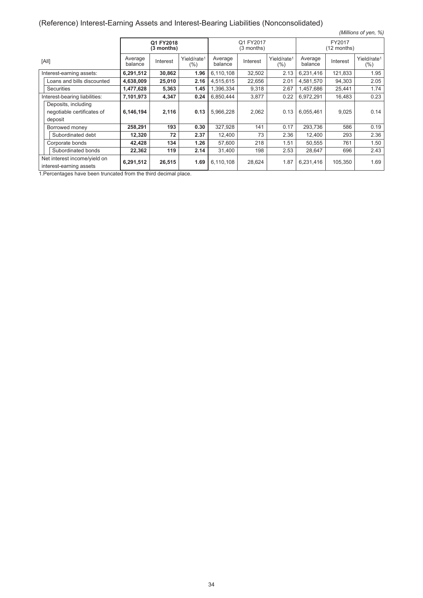# (Reference) Interest-Earning Assets and Interest-Bearing Liabilities (Nonconsolidated)

| (Millions of yen, %)                                    |                    |                         |                                |                         |          |                                |                    |          |                                |
|---------------------------------------------------------|--------------------|-------------------------|--------------------------------|-------------------------|----------|--------------------------------|--------------------|----------|--------------------------------|
|                                                         |                    | Q1 FY2018<br>(3 months) |                                | Q1 FY2017<br>(3 months) |          | FY2017<br>(12 months)          |                    |          |                                |
| [All]                                                   | Average<br>balance | Interest                | Yield/rate <sup>1</sup><br>(%) | Average<br>balance      | Interest | Yield/rate <sup>1</sup><br>(%) | Average<br>balance | Interest | Yield/rate <sup>1</sup><br>(%) |
| Interest-earning assets:                                | 6,291,512          | 30,862                  | 1.96                           | 6,110,108               | 32,502   | 2.13                           | 6,231,416          | 121,833  | 1.95                           |
| Loans and bills discounted                              | 4,638,009          | 25,010                  | 2.16                           | 4,515,615               | 22,656   | 2.01                           | 4,581,570          | 94,303   | 2.05                           |
| <b>Securities</b>                                       | 1,477,628          | 5,363                   | 1.45                           | 1,396,334               | 9,318    | 2.67                           | 1,457,686          | 25,441   | 1.74                           |
| Interest-bearing liabilities:                           | 7,101,973          | 4,347                   | 0.24                           | 6,850,444               | 3,877    | 0.22                           | 6,972,291          | 16,483   | 0.23                           |
| Deposits, including                                     |                    |                         |                                |                         |          |                                |                    |          |                                |
| negotiable certificates of                              | 6,146,194          | 2,116                   | 0.13                           | 5,966,228               | 2,062    | 0.13                           | 6,055,461          | 9,025    | 0.14                           |
| deposit                                                 |                    |                         |                                |                         |          |                                |                    |          |                                |
| Borrowed money                                          | 258,291            | 193                     | 0.30                           | 327,928                 | 141      | 0.17                           | 293,736            | 586      | 0.19                           |
| Subordinated debt                                       | 12,320             | 72                      | 2.37                           | 12,400                  | 73       | 2.36                           | 12,400             | 293      | 2.36                           |
| Corporate bonds                                         | 42,428             | 134                     | 1.26                           | 57,600                  | 218      | 1.51                           | 50,555             | 761      | 1.50                           |
| Subordinated bonds                                      | 22,362             | 119                     | 2.14                           | 31,400                  | 198      | 2.53                           | 28,647             | 696      | 2.43                           |
| Net interest income/yield on<br>interest-earning assets | 6,291,512          | 26,515                  | 1.69                           | 6,110,108               | 28,624   | 1.87                           | 6,231,416          | 105,350  | 1.69                           |

1.Percentages have been truncated from the third decimal place.